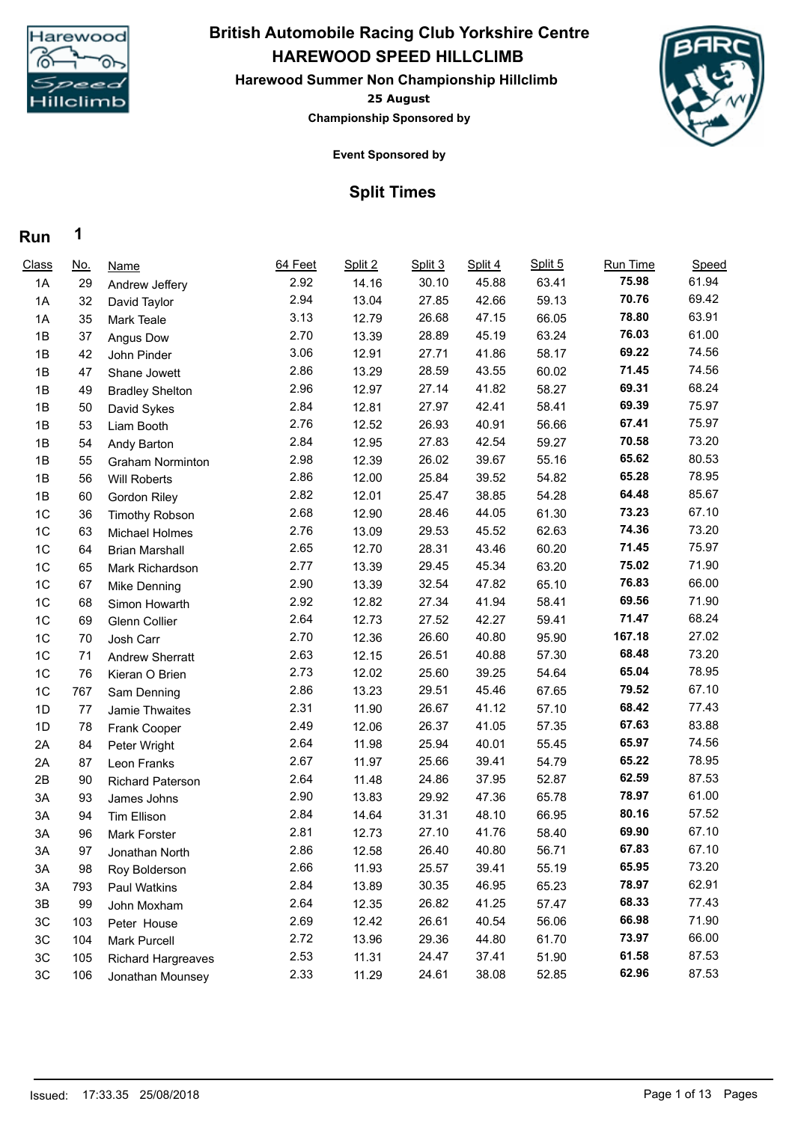

## **HAREWOOD SPEED HILLCLIMB British Automobile Racing Club Yorkshire Centre**

**25 August Harewood Summer Non Championship Hillclimb Championship Sponsored by**



**Event Sponsored by**

### **Split Times**

| Class | <u>No.</u> | <b>Name</b>               | 64 Feet | Split 2 | Split 3 | Split 4 | Split 5 | Run Time | Speed |
|-------|------------|---------------------------|---------|---------|---------|---------|---------|----------|-------|
| 1A    | 29         | Andrew Jeffery            | 2.92    | 14.16   | 30.10   | 45.88   | 63.41   | 75.98    | 61.94 |
| 1A    | 32         | David Taylor              | 2.94    | 13.04   | 27.85   | 42.66   | 59.13   | 70.76    | 69.42 |
| 1A    | 35         | Mark Teale                | 3.13    | 12.79   | 26.68   | 47.15   | 66.05   | 78.80    | 63.91 |
| 1B    | 37         | Angus Dow                 | 2.70    | 13.39   | 28.89   | 45.19   | 63.24   | 76.03    | 61.00 |
| 1B    | 42         | John Pinder               | 3.06    | 12.91   | 27.71   | 41.86   | 58.17   | 69.22    | 74.56 |
| 1B    | 47         | Shane Jowett              | 2.86    | 13.29   | 28.59   | 43.55   | 60.02   | 71.45    | 74.56 |
| 1B    | 49         | <b>Bradley Shelton</b>    | 2.96    | 12.97   | 27.14   | 41.82   | 58.27   | 69.31    | 68.24 |
| 1B    | 50         | David Sykes               | 2.84    | 12.81   | 27.97   | 42.41   | 58.41   | 69.39    | 75.97 |
| 1B    | 53         | Liam Booth                | 2.76    | 12.52   | 26.93   | 40.91   | 56.66   | 67.41    | 75.97 |
| 1B    | 54         | Andy Barton               | 2.84    | 12.95   | 27.83   | 42.54   | 59.27   | 70.58    | 73.20 |
| 1B    | 55         | <b>Graham Norminton</b>   | 2.98    | 12.39   | 26.02   | 39.67   | 55.16   | 65.62    | 80.53 |
| 1B    | 56         | <b>Will Roberts</b>       | 2.86    | 12.00   | 25.84   | 39.52   | 54.82   | 65.28    | 78.95 |
| 1B    | 60         | <b>Gordon Riley</b>       | 2.82    | 12.01   | 25.47   | 38.85   | 54.28   | 64.48    | 85.67 |
| 1C    | 36         | <b>Timothy Robson</b>     | 2.68    | 12.90   | 28.46   | 44.05   | 61.30   | 73.23    | 67.10 |
| 1C    | 63         | Michael Holmes            | 2.76    | 13.09   | 29.53   | 45.52   | 62.63   | 74.36    | 73.20 |
| 1C    | 64         | <b>Brian Marshall</b>     | 2.65    | 12.70   | 28.31   | 43.46   | 60.20   | 71.45    | 75.97 |
| 1C    | 65         | Mark Richardson           | 2.77    | 13.39   | 29.45   | 45.34   | 63.20   | 75.02    | 71.90 |
| 1C    | 67         | Mike Denning              | 2.90    | 13.39   | 32.54   | 47.82   | 65.10   | 76.83    | 66.00 |
| 1C    | 68         | Simon Howarth             | 2.92    | 12.82   | 27.34   | 41.94   | 58.41   | 69.56    | 71.90 |
| 1C    | 69         | Glenn Collier             | 2.64    | 12.73   | 27.52   | 42.27   | 59.41   | 71.47    | 68.24 |
| 1C    | 70         | Josh Carr                 | 2.70    | 12.36   | 26.60   | 40.80   | 95.90   | 167.18   | 27.02 |
| 1C    | 71         | <b>Andrew Sherratt</b>    | 2.63    | 12.15   | 26.51   | 40.88   | 57.30   | 68.48    | 73.20 |
| 1C    | 76         | Kieran O Brien            | 2.73    | 12.02   | 25.60   | 39.25   | 54.64   | 65.04    | 78.95 |
| 1C    | 767        | Sam Denning               | 2.86    | 13.23   | 29.51   | 45.46   | 67.65   | 79.52    | 67.10 |
| 1D    | 77         | Jamie Thwaites            | 2.31    | 11.90   | 26.67   | 41.12   | 57.10   | 68.42    | 77.43 |
| 1D    | 78         | Frank Cooper              | 2.49    | 12.06   | 26.37   | 41.05   | 57.35   | 67.63    | 83.88 |
| 2A    | 84         | Peter Wright              | 2.64    | 11.98   | 25.94   | 40.01   | 55.45   | 65.97    | 74.56 |
| 2A    | 87         | Leon Franks               | 2.67    | 11.97   | 25.66   | 39.41   | 54.79   | 65.22    | 78.95 |
| 2B    | 90         | <b>Richard Paterson</b>   | 2.64    | 11.48   | 24.86   | 37.95   | 52.87   | 62.59    | 87.53 |
| 3A    | 93         | James Johns               | 2.90    | 13.83   | 29.92   | 47.36   | 65.78   | 78.97    | 61.00 |
| 3A    | 94         | <b>Tim Ellison</b>        | 2.84    | 14.64   | 31.31   | 48.10   | 66.95   | 80.16    | 57.52 |
| 3A    | 96         | <b>Mark Forster</b>       | 2.81    | 12.73   | 27.10   | 41.76   | 58.40   | 69.90    | 67.10 |
| 3A    | 97         | Jonathan North            | 2.86    | 12.58   | 26.40   | 40.80   | 56.71   | 67.83    | 67.10 |
| 3A    | 98         | Roy Bolderson             | 2.66    | 11.93   | 25.57   | 39.41   | 55.19   | 65.95    | 73.20 |
| 3A    | 793        | Paul Watkins              | 2.84    | 13.89   | 30.35   | 46.95   | 65.23   | 78.97    | 62.91 |
| 3B    | 99         | John Moxham               | 2.64    | 12.35   | 26.82   | 41.25   | 57.47   | 68.33    | 77.43 |
| 3C    | 103        | Peter House               | 2.69    | 12.42   | 26.61   | 40.54   | 56.06   | 66.98    | 71.90 |
| $3C$  | 104        | <b>Mark Purcell</b>       | 2.72    | 13.96   | 29.36   | 44.80   | 61.70   | 73.97    | 66.00 |
| 3C    | 105        | <b>Richard Hargreaves</b> | 2.53    | 11.31   | 24.47   | 37.41   | 51.90   | 61.58    | 87.53 |
| 3C    | 106        | Jonathan Mounsey          | 2.33    | 11.29   | 24.61   | 38.08   | 52.85   | 62.96    | 87.53 |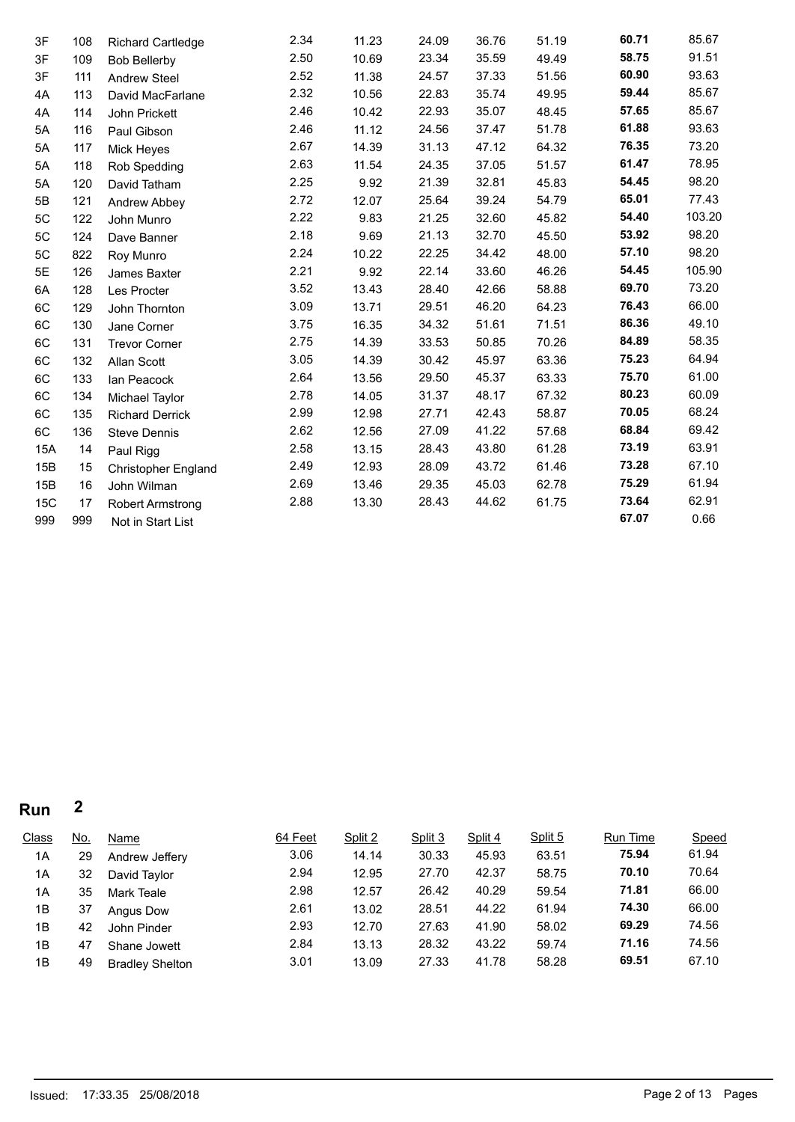| 3F  | 108 | <b>Richard Cartledge</b>   | 2.34 | 11.23 | 24.09 | 36.76 | 51.19 | 60.71 | 85.67  |
|-----|-----|----------------------------|------|-------|-------|-------|-------|-------|--------|
| 3F  | 109 | <b>Bob Bellerby</b>        | 2.50 | 10.69 | 23.34 | 35.59 | 49.49 | 58.75 | 91.51  |
| 3F  | 111 | <b>Andrew Steel</b>        | 2.52 | 11.38 | 24.57 | 37.33 | 51.56 | 60.90 | 93.63  |
| 4A  | 113 | David MacFarlane           | 2.32 | 10.56 | 22.83 | 35.74 | 49.95 | 59.44 | 85.67  |
| 4A  | 114 | John Prickett              | 2.46 | 10.42 | 22.93 | 35.07 | 48.45 | 57.65 | 85.67  |
| 5A  | 116 | Paul Gibson                | 2.46 | 11.12 | 24.56 | 37.47 | 51.78 | 61.88 | 93.63  |
| 5A  | 117 | Mick Heyes                 | 2.67 | 14.39 | 31.13 | 47.12 | 64.32 | 76.35 | 73.20  |
| 5A  | 118 | Rob Spedding               | 2.63 | 11.54 | 24.35 | 37.05 | 51.57 | 61.47 | 78.95  |
| 5A  | 120 | David Tatham               | 2.25 | 9.92  | 21.39 | 32.81 | 45.83 | 54.45 | 98.20  |
| 5Β  | 121 | Andrew Abbey               | 2.72 | 12.07 | 25.64 | 39.24 | 54.79 | 65.01 | 77.43  |
| 5C  | 122 | John Munro                 | 2.22 | 9.83  | 21.25 | 32.60 | 45.82 | 54.40 | 103.20 |
| 5C  | 124 | Dave Banner                | 2.18 | 9.69  | 21.13 | 32.70 | 45.50 | 53.92 | 98.20  |
| 5C  | 822 | Roy Munro                  | 2.24 | 10.22 | 22.25 | 34.42 | 48.00 | 57.10 | 98.20  |
| 5E  | 126 | James Baxter               | 2.21 | 9.92  | 22.14 | 33.60 | 46.26 | 54.45 | 105.90 |
| 6A  | 128 | Les Procter                | 3.52 | 13.43 | 28.40 | 42.66 | 58.88 | 69.70 | 73.20  |
| 6C  | 129 | John Thornton              | 3.09 | 13.71 | 29.51 | 46.20 | 64.23 | 76.43 | 66.00  |
| 6C  | 130 | Jane Corner                | 3.75 | 16.35 | 34.32 | 51.61 | 71.51 | 86.36 | 49.10  |
| 6C  | 131 | <b>Trevor Corner</b>       | 2.75 | 14.39 | 33.53 | 50.85 | 70.26 | 84.89 | 58.35  |
| 6C  | 132 | Allan Scott                | 3.05 | 14.39 | 30.42 | 45.97 | 63.36 | 75.23 | 64.94  |
| 6C  | 133 | Ian Peacock                | 2.64 | 13.56 | 29.50 | 45.37 | 63.33 | 75.70 | 61.00  |
| 6C  | 134 | Michael Taylor             | 2.78 | 14.05 | 31.37 | 48.17 | 67.32 | 80.23 | 60.09  |
| 6C  | 135 | <b>Richard Derrick</b>     | 2.99 | 12.98 | 27.71 | 42.43 | 58.87 | 70.05 | 68.24  |
| 6C  | 136 | <b>Steve Dennis</b>        | 2.62 | 12.56 | 27.09 | 41.22 | 57.68 | 68.84 | 69.42  |
| 15A | 14  | Paul Rigg                  | 2.58 | 13.15 | 28.43 | 43.80 | 61.28 | 73.19 | 63.91  |
| 15B | 15  | <b>Christopher England</b> | 2.49 | 12.93 | 28.09 | 43.72 | 61.46 | 73.28 | 67.10  |
| 15B | 16  | John Wilman                | 2.69 | 13.46 | 29.35 | 45.03 | 62.78 | 75.29 | 61.94  |
| 15C | 17  | <b>Robert Armstrong</b>    | 2.88 | 13.30 | 28.43 | 44.62 | 61.75 | 73.64 | 62.91  |
| 999 | 999 | Not in Start List          |      |       |       |       |       | 67.07 | 0.66   |

| Class | <u>No.</u> | Name                   | 64 Feet | Split 2 | Split 3 | Split 4 | Split 5 | Run Time | Speed |
|-------|------------|------------------------|---------|---------|---------|---------|---------|----------|-------|
| 1A    | 29         | Andrew Jeffery         | 3.06    | 14.14   | 30.33   | 45.93   | 63.51   | 75.94    | 61.94 |
| 1A    | 32         | David Tavlor           | 2.94    | 12.95   | 27.70   | 42.37   | 58.75   | 70.10    | 70.64 |
| 1A    | 35         | Mark Teale             | 2.98    | 12.57   | 26.42   | 40.29   | 59.54   | 71.81    | 66.00 |
| 1B    | 37         | Angus Dow              | 2.61    | 13.02   | 28.51   | 44.22   | 61.94   | 74.30    | 66.00 |
| 1B    | 42         | John Pinder            | 2.93    | 12.70   | 27.63   | 41.90   | 58.02   | 69.29    | 74.56 |
| 1B    | 47         | Shane Jowett           | 2.84    | 13.13   | 28.32   | 43.22   | 59.74   | 71.16    | 74.56 |
| 1B    | 49         | <b>Bradley Shelton</b> | 3.01    | 13.09   | 27.33   | 41.78   | 58.28   | 69.51    | 67.10 |
|       |            |                        |         |         |         |         |         |          |       |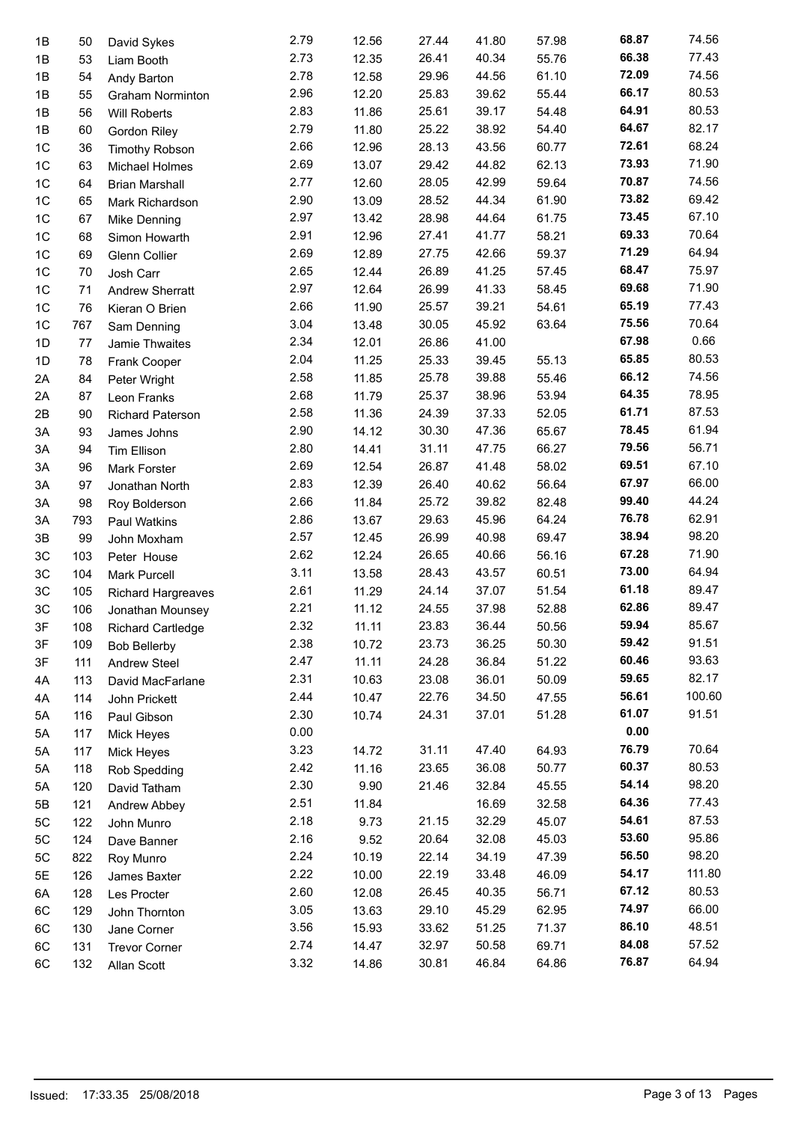| 1B             | 50  | David Sykes                  | 2.79 | 12.56 | 27.44 | 41.80 | 57.98 | 68.87 | 74.56  |
|----------------|-----|------------------------------|------|-------|-------|-------|-------|-------|--------|
| 1B             | 53  | Liam Booth                   | 2.73 | 12.35 | 26.41 | 40.34 | 55.76 | 66.38 | 77.43  |
| 1B             | 54  | Andy Barton                  | 2.78 | 12.58 | 29.96 | 44.56 | 61.10 | 72.09 | 74.56  |
| 1B             | 55  | <b>Graham Norminton</b>      | 2.96 | 12.20 | 25.83 | 39.62 | 55.44 | 66.17 | 80.53  |
| 1B             | 56  | <b>Will Roberts</b>          | 2.83 | 11.86 | 25.61 | 39.17 | 54.48 | 64.91 | 80.53  |
| 1B             | 60  | <b>Gordon Riley</b>          | 2.79 | 11.80 | 25.22 | 38.92 | 54.40 | 64.67 | 82.17  |
| 1 <sup>C</sup> | 36  | <b>Timothy Robson</b>        | 2.66 | 12.96 | 28.13 | 43.56 | 60.77 | 72.61 | 68.24  |
| 1C             | 63  | Michael Holmes               | 2.69 | 13.07 | 29.42 | 44.82 | 62.13 | 73.93 | 71.90  |
| 1C             | 64  | <b>Brian Marshall</b>        | 2.77 | 12.60 | 28.05 | 42.99 | 59.64 | 70.87 | 74.56  |
| 1 <sup>C</sup> | 65  | Mark Richardson              | 2.90 | 13.09 | 28.52 | 44.34 | 61.90 | 73.82 | 69.42  |
| 1C             | 67  | Mike Denning                 | 2.97 | 13.42 | 28.98 | 44.64 | 61.75 | 73.45 | 67.10  |
| 1C             | 68  | Simon Howarth                | 2.91 | 12.96 | 27.41 | 41.77 | 58.21 | 69.33 | 70.64  |
| 1C             | 69  | Glenn Collier                | 2.69 | 12.89 | 27.75 | 42.66 | 59.37 | 71.29 | 64.94  |
| 1C             | 70  | Josh Carr                    | 2.65 | 12.44 | 26.89 | 41.25 | 57.45 | 68.47 | 75.97  |
| 1 <sup>C</sup> | 71  | <b>Andrew Sherratt</b>       | 2.97 | 12.64 | 26.99 | 41.33 | 58.45 | 69.68 | 71.90  |
| 1 <sup>C</sup> | 76  | Kieran O Brien               | 2.66 | 11.90 | 25.57 | 39.21 | 54.61 | 65.19 | 77.43  |
| 1 <sup>C</sup> | 767 | Sam Denning                  | 3.04 | 13.48 | 30.05 | 45.92 | 63.64 | 75.56 | 70.64  |
| 1D             | 77  | Jamie Thwaites               | 2.34 | 12.01 | 26.86 | 41.00 |       | 67.98 | 0.66   |
| 1D             | 78  | Frank Cooper                 | 2.04 | 11.25 | 25.33 | 39.45 | 55.13 | 65.85 | 80.53  |
| 2A             | 84  | Peter Wright                 | 2.58 | 11.85 | 25.78 | 39.88 | 55.46 | 66.12 | 74.56  |
| 2A             | 87  | Leon Franks                  | 2.68 | 11.79 | 25.37 | 38.96 | 53.94 | 64.35 | 78.95  |
| 2B             | 90  | <b>Richard Paterson</b>      | 2.58 | 11.36 | 24.39 | 37.33 | 52.05 | 61.71 | 87.53  |
| 3A             | 93  | James Johns                  | 2.90 | 14.12 | 30.30 | 47.36 | 65.67 | 78.45 | 61.94  |
| 3A             | 94  | Tim Ellison                  | 2.80 | 14.41 | 31.11 | 47.75 | 66.27 | 79.56 | 56.71  |
| 3A             | 96  | Mark Forster                 | 2.69 | 12.54 | 26.87 | 41.48 | 58.02 | 69.51 | 67.10  |
| 3A             | 97  | Jonathan North               | 2.83 | 12.39 | 26.40 | 40.62 | 56.64 | 67.97 | 66.00  |
| 3A             | 98  | Roy Bolderson                | 2.66 | 11.84 | 25.72 | 39.82 | 82.48 | 99.40 | 44.24  |
| 3A             | 793 | Paul Watkins                 | 2.86 | 13.67 | 29.63 | 45.96 | 64.24 | 76.78 | 62.91  |
| 3B             | 99  | John Moxham                  | 2.57 | 12.45 | 26.99 | 40.98 | 69.47 | 38.94 | 98.20  |
| 3C             | 103 | Peter House                  | 2.62 | 12.24 | 26.65 | 40.66 | 56.16 | 67.28 | 71.90  |
| 3C             | 104 | <b>Mark Purcell</b>          | 3.11 | 13.58 | 28.43 | 43.57 | 60.51 | 73.00 | 64.94  |
| 3C             | 105 | <b>Richard Hargreaves</b>    | 2.61 | 11.29 | 24.14 | 37.07 | 51.54 | 61.18 | 89.47  |
| 3C             | 106 | Jonathan Mounsey             | 2.21 | 11.12 | 24.55 | 37.98 | 52.88 | 62.86 | 89.47  |
| 3F             | 108 | <b>Richard Cartledge</b>     | 2.32 | 11.11 | 23.83 | 36.44 | 50.56 | 59.94 | 85.67  |
| 3F             | 109 | <b>Bob Bellerby</b>          | 2.38 | 10.72 | 23.73 | 36.25 | 50.30 | 59.42 | 91.51  |
| 3F             | 111 | <b>Andrew Steel</b>          | 2.47 | 11.11 | 24.28 | 36.84 | 51.22 | 60.46 | 93.63  |
| 4A             | 113 | David MacFarlane             | 2.31 | 10.63 | 23.08 | 36.01 | 50.09 | 59.65 | 82.17  |
| 4A             | 114 | John Prickett                | 2.44 | 10.47 | 22.76 | 34.50 | 47.55 | 56.61 | 100.60 |
| 5A             | 116 | Paul Gibson                  | 2.30 | 10.74 | 24.31 | 37.01 | 51.28 | 61.07 | 91.51  |
| 5A             | 117 | Mick Heyes                   | 0.00 |       |       |       |       | 0.00  |        |
| 5A             | 117 |                              | 3.23 | 14.72 | 31.11 | 47.40 | 64.93 | 76.79 | 70.64  |
| 5A             | 118 | Mick Heyes                   | 2.42 | 11.16 | 23.65 | 36.08 | 50.77 | 60.37 | 80.53  |
| 5A             | 120 | Rob Spedding<br>David Tatham | 2.30 | 9.90  | 21.46 | 32.84 | 45.55 | 54.14 | 98.20  |
| 5Β             | 121 |                              | 2.51 | 11.84 |       | 16.69 | 32.58 | 64.36 | 77.43  |
| 5C             |     | Andrew Abbey                 | 2.18 | 9.73  | 21.15 | 32.29 | 45.07 | 54.61 | 87.53  |
| 5C             | 122 | John Munro                   | 2.16 | 9.52  | 20.64 | 32.08 | 45.03 | 53.60 | 95.86  |
|                | 124 | Dave Banner                  | 2.24 | 10.19 | 22.14 | 34.19 | 47.39 | 56.50 | 98.20  |
| 5C             | 822 | Roy Munro                    | 2.22 | 10.00 | 22.19 | 33.48 | 46.09 | 54.17 | 111.80 |
| 5E             | 126 | James Baxter                 | 2.60 |       | 26.45 | 40.35 | 56.71 | 67.12 | 80.53  |
| 6A             | 128 | Les Procter                  | 3.05 | 12.08 | 29.10 | 45.29 | 62.95 | 74.97 | 66.00  |
| 6C             | 129 | John Thornton                |      | 13.63 |       |       |       | 86.10 | 48.51  |
| 6C             | 130 | Jane Corner                  | 3.56 | 15.93 | 33.62 | 51.25 | 71.37 | 84.08 | 57.52  |
| 6C             | 131 | <b>Trevor Corner</b>         | 2.74 | 14.47 | 32.97 | 50.58 | 69.71 |       | 64.94  |
| 6C             | 132 | Allan Scott                  | 3.32 | 14.86 | 30.81 | 46.84 | 64.86 | 76.87 |        |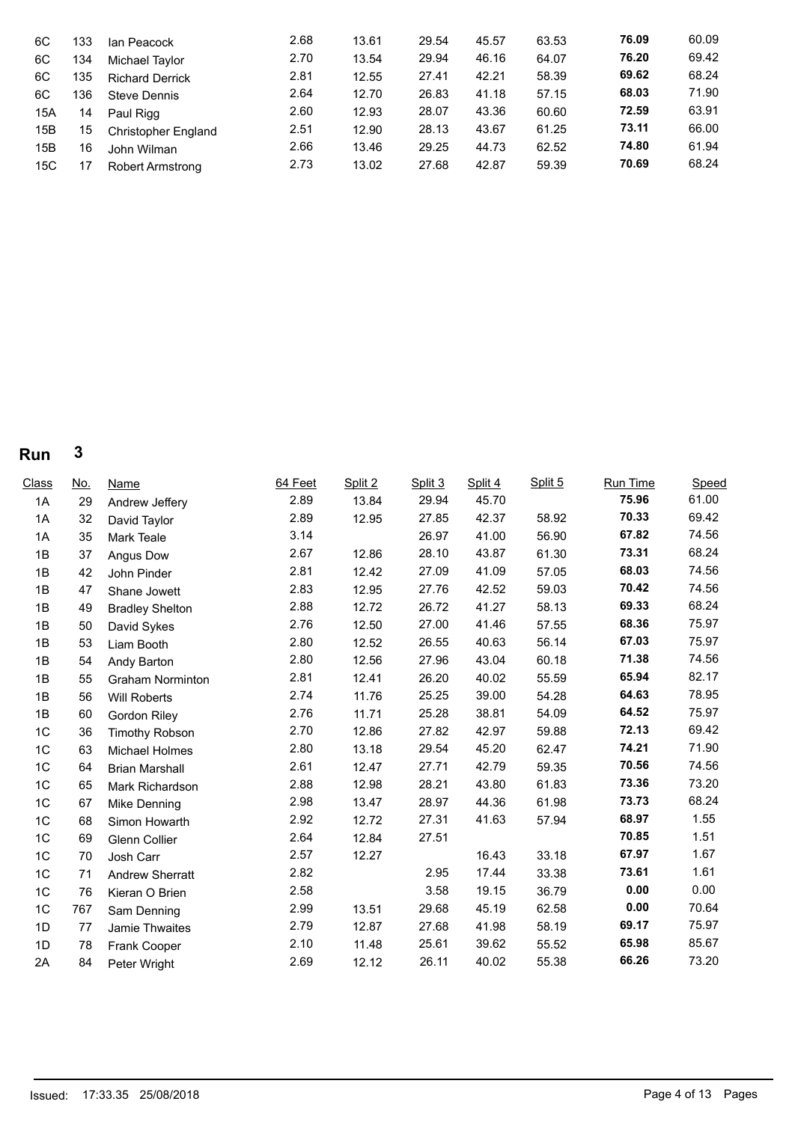| 6C<br>6C<br>6C<br>6C<br>15A<br>15B<br>15B | 133<br>134<br>135<br>136<br>14<br>15<br>16 | Ian Peacock<br>Michael Taylor<br><b>Richard Derrick</b><br><b>Steve Dennis</b><br>Paul Rigg<br><b>Christopher England</b><br>John Wilman | 2.68<br>2.70<br>2.81<br>2.64<br>2.60<br>2.51<br>2.66 | 13.61<br>13.54<br>12.55<br>12.70<br>12.93<br>12.90<br>13.46 | 29.54<br>29.94<br>27.41<br>26.83<br>28.07<br>28.13<br>29.25 | 45.57<br>46.16<br>42.21<br>41.18<br>43.36<br>43.67<br>44.73 | 63.53<br>64.07<br>58.39<br>57.15<br>60.60<br>61.25<br>62.52 | 76.09<br>76.20<br>69.62<br>68.03<br>72.59<br>73.11<br>74.80 | 60.09<br>69.42<br>68.24<br>71.90<br>63.91<br>66.00<br>61.94 |  |
|-------------------------------------------|--------------------------------------------|------------------------------------------------------------------------------------------------------------------------------------------|------------------------------------------------------|-------------------------------------------------------------|-------------------------------------------------------------|-------------------------------------------------------------|-------------------------------------------------------------|-------------------------------------------------------------|-------------------------------------------------------------|--|
|                                           |                                            |                                                                                                                                          |                                                      |                                                             |                                                             |                                                             |                                                             |                                                             |                                                             |  |
| 15C                                       | 17                                         | Robert Armstrong                                                                                                                         | 2.73                                                 | 13.02                                                       | 27.68                                                       | 42.87                                                       | 59.39                                                       | 70.69                                                       | 68.24                                                       |  |

| Class          | <u>No.</u> | Name                    | 64 Feet | Split 2 | Split 3 | Split 4 | Split 5 | <b>Run Time</b> | Speed |
|----------------|------------|-------------------------|---------|---------|---------|---------|---------|-----------------|-------|
| 1A             | 29         | Andrew Jeffery          | 2.89    | 13.84   | 29.94   | 45.70   |         | 75.96           | 61.00 |
| 1A             | 32         | David Taylor            | 2.89    | 12.95   | 27.85   | 42.37   | 58.92   | 70.33           | 69.42 |
| 1A             | 35         | Mark Teale              | 3.14    |         | 26.97   | 41.00   | 56.90   | 67.82           | 74.56 |
| 1B             | 37         | Angus Dow               | 2.67    | 12.86   | 28.10   | 43.87   | 61.30   | 73.31           | 68.24 |
| 1B             | 42         | John Pinder             | 2.81    | 12.42   | 27.09   | 41.09   | 57.05   | 68.03           | 74.56 |
| 1B             | 47         | Shane Jowett            | 2.83    | 12.95   | 27.76   | 42.52   | 59.03   | 70.42           | 74.56 |
| 1B             | 49         | <b>Bradley Shelton</b>  | 2.88    | 12.72   | 26.72   | 41.27   | 58.13   | 69.33           | 68.24 |
| 1B             | 50         | David Sykes             | 2.76    | 12.50   | 27.00   | 41.46   | 57.55   | 68.36           | 75.97 |
| 1B             | 53         | Liam Booth              | 2.80    | 12.52   | 26.55   | 40.63   | 56.14   | 67.03           | 75.97 |
| 1B             | 54         | Andy Barton             | 2.80    | 12.56   | 27.96   | 43.04   | 60.18   | 71.38           | 74.56 |
| 1B             | 55         | <b>Graham Norminton</b> | 2.81    | 12.41   | 26.20   | 40.02   | 55.59   | 65.94           | 82.17 |
| 1B             | 56         | Will Roberts            | 2.74    | 11.76   | 25.25   | 39.00   | 54.28   | 64.63           | 78.95 |
| 1B             | 60         | Gordon Riley            | 2.76    | 11.71   | 25.28   | 38.81   | 54.09   | 64.52           | 75.97 |
| 1C             | 36         | <b>Timothy Robson</b>   | 2.70    | 12.86   | 27.82   | 42.97   | 59.88   | 72.13           | 69.42 |
| 1 <sub>C</sub> | 63         | <b>Michael Holmes</b>   | 2.80    | 13.18   | 29.54   | 45.20   | 62.47   | 74.21           | 71.90 |
| 1C             | 64         | <b>Brian Marshall</b>   | 2.61    | 12.47   | 27.71   | 42.79   | 59.35   | 70.56           | 74.56 |
| 1C             | 65         | Mark Richardson         | 2.88    | 12.98   | 28.21   | 43.80   | 61.83   | 73.36           | 73.20 |
| 1C             | 67         | Mike Denning            | 2.98    | 13.47   | 28.97   | 44.36   | 61.98   | 73.73           | 68.24 |
| 1C             | 68         | Simon Howarth           | 2.92    | 12.72   | 27.31   | 41.63   | 57.94   | 68.97           | 1.55  |
| 1C             | 69         | <b>Glenn Collier</b>    | 2.64    | 12.84   | 27.51   |         |         | 70.85           | 1.51  |
| 1C             | 70         | Josh Carr               | 2.57    | 12.27   |         | 16.43   | 33.18   | 67.97           | 1.67  |
| 1C             | 71         | <b>Andrew Sherratt</b>  | 2.82    |         | 2.95    | 17.44   | 33.38   | 73.61           | 1.61  |
| 1C             | 76         | Kieran O Brien          | 2.58    |         | 3.58    | 19.15   | 36.79   | 0.00            | 0.00  |
| 1 <sub>C</sub> | 767        | Sam Denning             | 2.99    | 13.51   | 29.68   | 45.19   | 62.58   | 0.00            | 70.64 |
| 1D             | 77         | Jamie Thwaites          | 2.79    | 12.87   | 27.68   | 41.98   | 58.19   | 69.17           | 75.97 |
| 1D             | 78         | Frank Cooper            | 2.10    | 11.48   | 25.61   | 39.62   | 55.52   | 65.98           | 85.67 |
| 2A             | 84         | Peter Wright            | 2.69    | 12.12   | 26.11   | 40.02   | 55.38   | 66.26           | 73.20 |
|                |            |                         |         |         |         |         |         |                 |       |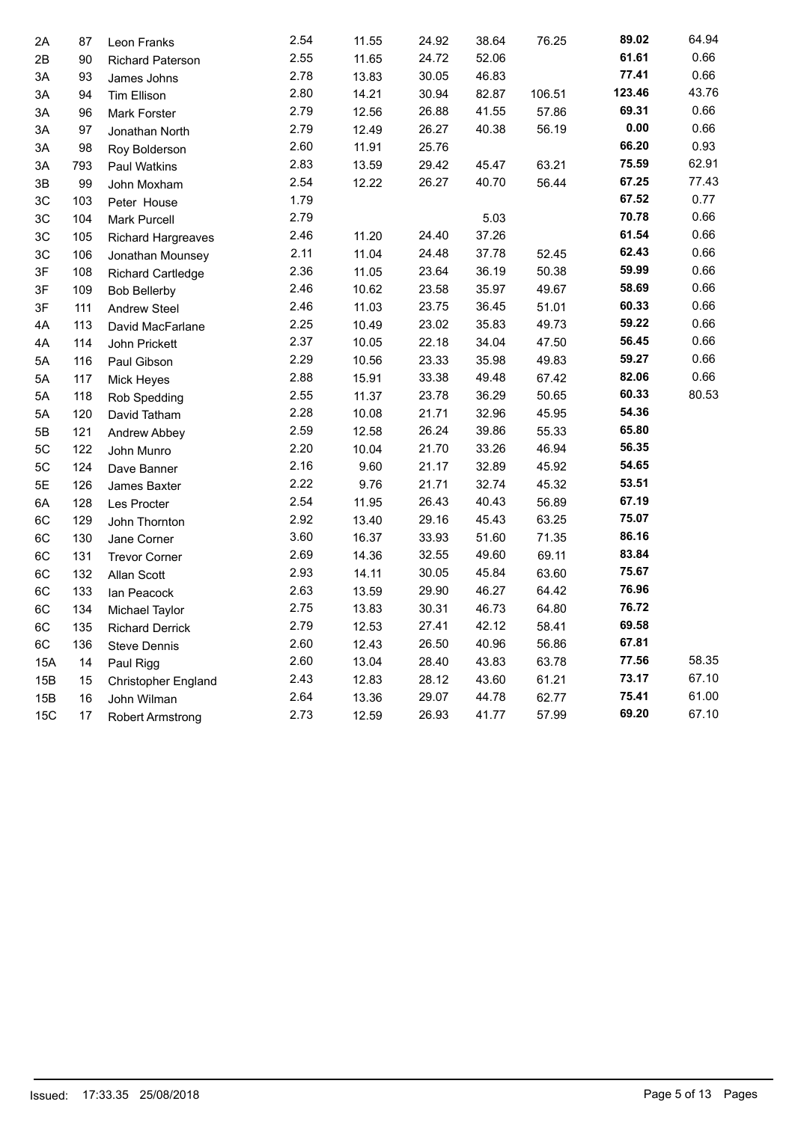| 2A            | 87  | Leon Franks                | 2.54 | 11.55 | 24.92 | 38.64 | 76.25  | 89.02  | 64.94 |  |
|---------------|-----|----------------------------|------|-------|-------|-------|--------|--------|-------|--|
| 2B            | 90  | <b>Richard Paterson</b>    | 2.55 | 11.65 | 24.72 | 52.06 |        | 61.61  | 0.66  |  |
| 3A            | 93  | James Johns                | 2.78 | 13.83 | 30.05 | 46.83 |        | 77.41  | 0.66  |  |
| 3A            | 94  | Tim Ellison                | 2.80 | 14.21 | 30.94 | 82.87 | 106.51 | 123.46 | 43.76 |  |
| ЗA            | 96  | <b>Mark Forster</b>        | 2.79 | 12.56 | 26.88 | 41.55 | 57.86  | 69.31  | 0.66  |  |
| 3A            | 97  | Jonathan North             | 2.79 | 12.49 | 26.27 | 40.38 | 56.19  | 0.00   | 0.66  |  |
| 3A            | 98  | Roy Bolderson              | 2.60 | 11.91 | 25.76 |       |        | 66.20  | 0.93  |  |
| ЗA            | 793 | Paul Watkins               | 2.83 | 13.59 | 29.42 | 45.47 | 63.21  | 75.59  | 62.91 |  |
| 3В            | 99  | John Moxham                | 2.54 | 12.22 | 26.27 | 40.70 | 56.44  | 67.25  | 77.43 |  |
| 3C            | 103 | Peter House                | 1.79 |       |       |       |        | 67.52  | 0.77  |  |
| ЗC            | 104 | <b>Mark Purcell</b>        | 2.79 |       |       | 5.03  |        | 70.78  | 0.66  |  |
| 3C            | 105 | <b>Richard Hargreaves</b>  | 2.46 | 11.20 | 24.40 | 37.26 |        | 61.54  | 0.66  |  |
| 3C            | 106 | Jonathan Mounsey           | 2.11 | 11.04 | 24.48 | 37.78 | 52.45  | 62.43  | 0.66  |  |
| 3F            | 108 | <b>Richard Cartledge</b>   | 2.36 | 11.05 | 23.64 | 36.19 | 50.38  | 59.99  | 0.66  |  |
| 3F            | 109 | <b>Bob Bellerby</b>        | 2.46 | 10.62 | 23.58 | 35.97 | 49.67  | 58.69  | 0.66  |  |
| 3F            | 111 | <b>Andrew Steel</b>        | 2.46 | 11.03 | 23.75 | 36.45 | 51.01  | 60.33  | 0.66  |  |
| 4A            | 113 | David MacFarlane           | 2.25 | 10.49 | 23.02 | 35.83 | 49.73  | 59.22  | 0.66  |  |
| 4A            | 114 | John Prickett              | 2.37 | 10.05 | 22.18 | 34.04 | 47.50  | 56.45  | 0.66  |  |
| 5A            | 116 | Paul Gibson                | 2.29 | 10.56 | 23.33 | 35.98 | 49.83  | 59.27  | 0.66  |  |
| 5Α            | 117 | Mick Heyes                 | 2.88 | 15.91 | 33.38 | 49.48 | 67.42  | 82.06  | 0.66  |  |
| 5A            | 118 | Rob Spedding               | 2.55 | 11.37 | 23.78 | 36.29 | 50.65  | 60.33  | 80.53 |  |
| 5A            | 120 | David Tatham               | 2.28 | 10.08 | 21.71 | 32.96 | 45.95  | 54.36  |       |  |
| 5Β            | 121 | Andrew Abbey               | 2.59 | 12.58 | 26.24 | 39.86 | 55.33  | 65.80  |       |  |
| 5C            | 122 | John Munro                 | 2.20 | 10.04 | 21.70 | 33.26 | 46.94  | 56.35  |       |  |
| $5\mathrm{C}$ | 124 | Dave Banner                | 2.16 | 9.60  | 21.17 | 32.89 | 45.92  | 54.65  |       |  |
| 5E            | 126 | James Baxter               | 2.22 | 9.76  | 21.71 | 32.74 | 45.32  | 53.51  |       |  |
| 6A            | 128 | Les Procter                | 2.54 | 11.95 | 26.43 | 40.43 | 56.89  | 67.19  |       |  |
| 6C            | 129 | John Thornton              | 2.92 | 13.40 | 29.16 | 45.43 | 63.25  | 75.07  |       |  |
| 6C            | 130 | Jane Corner                | 3.60 | 16.37 | 33.93 | 51.60 | 71.35  | 86.16  |       |  |
| 6C            | 131 | <b>Trevor Corner</b>       | 2.69 | 14.36 | 32.55 | 49.60 | 69.11  | 83.84  |       |  |
| 6C            | 132 | Allan Scott                | 2.93 | 14.11 | 30.05 | 45.84 | 63.60  | 75.67  |       |  |
| 6C            | 133 | lan Peacock                | 2.63 | 13.59 | 29.90 | 46.27 | 64.42  | 76.96  |       |  |
| 6C            | 134 | Michael Taylor             | 2.75 | 13.83 | 30.31 | 46.73 | 64.80  | 76.72  |       |  |
| 6C            | 135 | <b>Richard Derrick</b>     | 2.79 | 12.53 | 27.41 | 42.12 | 58.41  | 69.58  |       |  |
| 6C            | 136 | <b>Steve Dennis</b>        | 2.60 | 12.43 | 26.50 | 40.96 | 56.86  | 67.81  |       |  |
| 15A           | 14  | Paul Rigg                  | 2.60 | 13.04 | 28.40 | 43.83 | 63.78  | 77.56  | 58.35 |  |
| 15B           | 15  | <b>Christopher England</b> | 2.43 | 12.83 | 28.12 | 43.60 | 61.21  | 73.17  | 67.10 |  |
| 15B           | 16  | John Wilman                | 2.64 | 13.36 | 29.07 | 44.78 | 62.77  | 75.41  | 61.00 |  |
| <b>15C</b>    | 17  | <b>Robert Armstrong</b>    | 2.73 | 12.59 | 26.93 | 41.77 | 57.99  | 69.20  | 67.10 |  |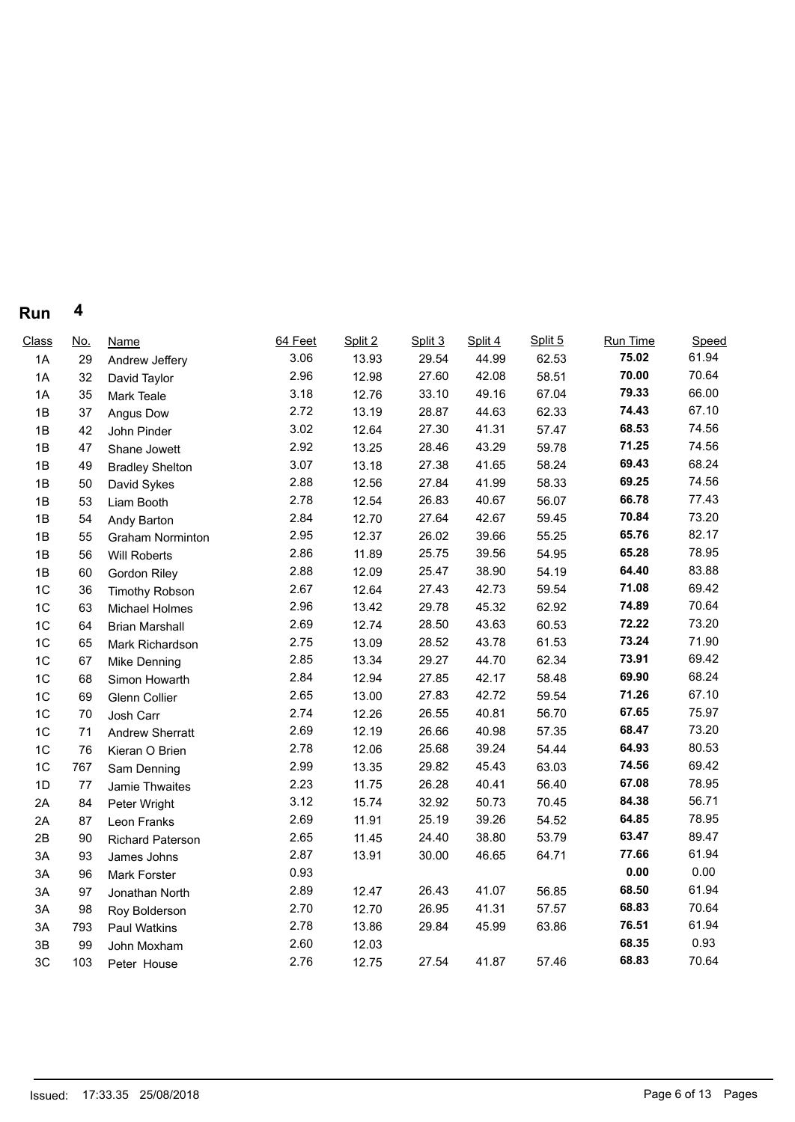| Class          | <u>No.</u> | Name                    | 64 Feet | Split 2 | Split 3 | Split 4 | Split 5 | Run Time | Speed |  |
|----------------|------------|-------------------------|---------|---------|---------|---------|---------|----------|-------|--|
| 1A             | 29         | Andrew Jeffery          | 3.06    | 13.93   | 29.54   | 44.99   | 62.53   | 75.02    | 61.94 |  |
| 1A             | 32         | David Taylor            | 2.96    | 12.98   | 27.60   | 42.08   | 58.51   | 70.00    | 70.64 |  |
| 1A             | 35         | Mark Teale              | 3.18    | 12.76   | 33.10   | 49.16   | 67.04   | 79.33    | 66.00 |  |
| 1B             | 37         | Angus Dow               | 2.72    | 13.19   | 28.87   | 44.63   | 62.33   | 74.43    | 67.10 |  |
| 1B             | 42         | John Pinder             | 3.02    | 12.64   | 27.30   | 41.31   | 57.47   | 68.53    | 74.56 |  |
| 1B             | 47         | Shane Jowett            | 2.92    | 13.25   | 28.46   | 43.29   | 59.78   | 71.25    | 74.56 |  |
| 1B             | 49         | <b>Bradley Shelton</b>  | 3.07    | 13.18   | 27.38   | 41.65   | 58.24   | 69.43    | 68.24 |  |
| 1B             | 50         | David Sykes             | 2.88    | 12.56   | 27.84   | 41.99   | 58.33   | 69.25    | 74.56 |  |
| 1B             | 53         | Liam Booth              | 2.78    | 12.54   | 26.83   | 40.67   | 56.07   | 66.78    | 77.43 |  |
| 1B             | 54         | Andy Barton             | 2.84    | 12.70   | 27.64   | 42.67   | 59.45   | 70.84    | 73.20 |  |
| 1B             | 55         | <b>Graham Norminton</b> | 2.95    | 12.37   | 26.02   | 39.66   | 55.25   | 65.76    | 82.17 |  |
| 1B             | 56         | Will Roberts            | 2.86    | 11.89   | 25.75   | 39.56   | 54.95   | 65.28    | 78.95 |  |
| 1B             | 60         | Gordon Riley            | 2.88    | 12.09   | 25.47   | 38.90   | 54.19   | 64.40    | 83.88 |  |
| 1 <sup>C</sup> | 36         | <b>Timothy Robson</b>   | 2.67    | 12.64   | 27.43   | 42.73   | 59.54   | 71.08    | 69.42 |  |
| 1C             | 63         | Michael Holmes          | 2.96    | 13.42   | 29.78   | 45.32   | 62.92   | 74.89    | 70.64 |  |
| 1 <sup>C</sup> | 64         | <b>Brian Marshall</b>   | 2.69    | 12.74   | 28.50   | 43.63   | 60.53   | 72.22    | 73.20 |  |
| 1C             | 65         | Mark Richardson         | 2.75    | 13.09   | 28.52   | 43.78   | 61.53   | 73.24    | 71.90 |  |
| 1C             | 67         | Mike Denning            | 2.85    | 13.34   | 29.27   | 44.70   | 62.34   | 73.91    | 69.42 |  |
| 1 <sup>C</sup> | 68         | Simon Howarth           | 2.84    | 12.94   | 27.85   | 42.17   | 58.48   | 69.90    | 68.24 |  |
| 1 <sup>C</sup> | 69         | Glenn Collier           | 2.65    | 13.00   | 27.83   | 42.72   | 59.54   | 71.26    | 67.10 |  |
| 1 <sup>C</sup> | 70         | Josh Carr               | 2.74    | 12.26   | 26.55   | 40.81   | 56.70   | 67.65    | 75.97 |  |
| 1 <sup>C</sup> | 71         | <b>Andrew Sherratt</b>  | 2.69    | 12.19   | 26.66   | 40.98   | 57.35   | 68.47    | 73.20 |  |
| 1C             | 76         | Kieran O Brien          | 2.78    | 12.06   | 25.68   | 39.24   | 54.44   | 64.93    | 80.53 |  |
| 1C             | 767        | Sam Denning             | 2.99    | 13.35   | 29.82   | 45.43   | 63.03   | 74.56    | 69.42 |  |
| 1D             | 77         | Jamie Thwaites          | 2.23    | 11.75   | 26.28   | 40.41   | 56.40   | 67.08    | 78.95 |  |
| 2A             | 84         | Peter Wright            | 3.12    | 15.74   | 32.92   | 50.73   | 70.45   | 84.38    | 56.71 |  |
| 2A             | 87         | Leon Franks             | 2.69    | 11.91   | 25.19   | 39.26   | 54.52   | 64.85    | 78.95 |  |
| 2B             | 90         | <b>Richard Paterson</b> | 2.65    | 11.45   | 24.40   | 38.80   | 53.79   | 63.47    | 89.47 |  |
| 3A             | 93         | James Johns             | 2.87    | 13.91   | 30.00   | 46.65   | 64.71   | 77.66    | 61.94 |  |
| 3A             | 96         | Mark Forster            | 0.93    |         |         |         |         | $0.00\,$ | 0.00  |  |
| 3A             | 97         | Jonathan North          | 2.89    | 12.47   | 26.43   | 41.07   | 56.85   | 68.50    | 61.94 |  |
| 3A             | 98         | Roy Bolderson           | 2.70    | 12.70   | 26.95   | 41.31   | 57.57   | 68.83    | 70.64 |  |
| 3A             | 793        | Paul Watkins            | 2.78    | 13.86   | 29.84   | 45.99   | 63.86   | 76.51    | 61.94 |  |
| 3B             | 99         | John Moxham             | 2.60    | 12.03   |         |         |         | 68.35    | 0.93  |  |
| 3C             | 103        | Peter House             | 2.76    | 12.75   | 27.54   | 41.87   | 57.46   | 68.83    | 70.64 |  |
|                |            |                         |         |         |         |         |         |          |       |  |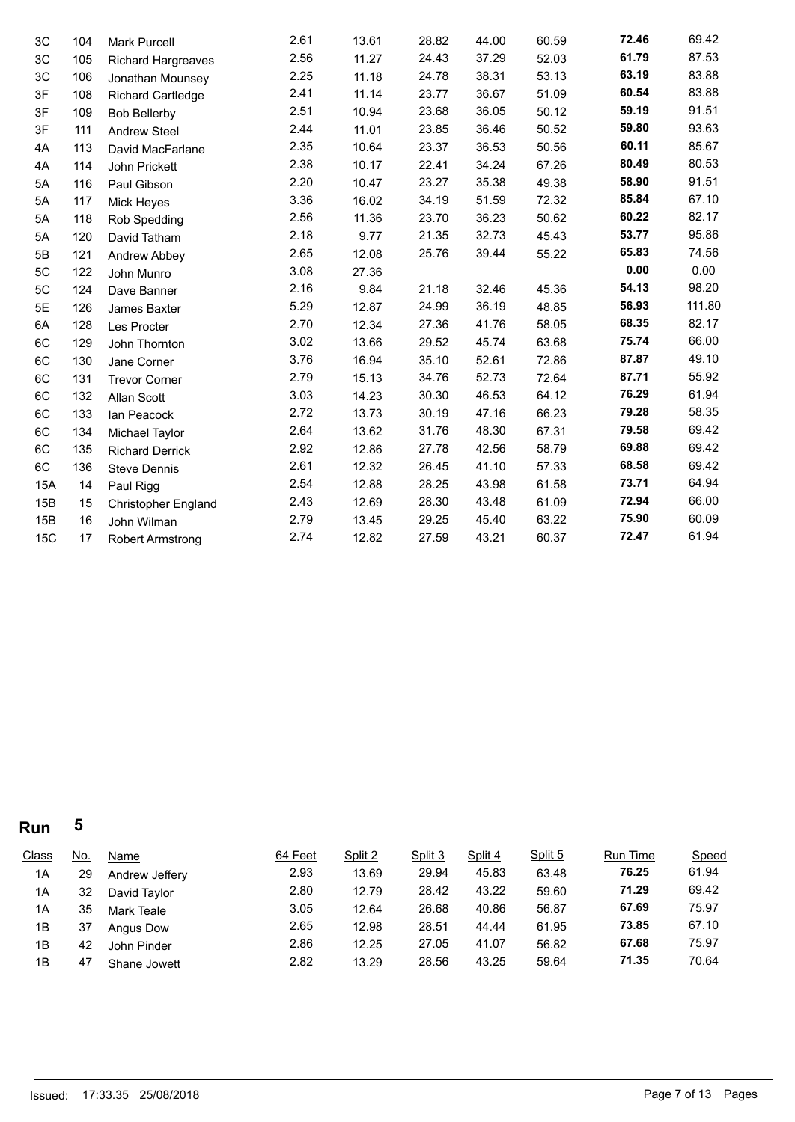| 3C         | 104 | <b>Mark Purcell</b>        | 2.61 | 13.61 | 28.82 | 44.00 | 60.59 | 72.46 | 69.42  |
|------------|-----|----------------------------|------|-------|-------|-------|-------|-------|--------|
| 3C         | 105 | <b>Richard Hargreaves</b>  | 2.56 | 11.27 | 24.43 | 37.29 | 52.03 | 61.79 | 87.53  |
| 3C         | 106 | Jonathan Mounsey           | 2.25 | 11.18 | 24.78 | 38.31 | 53.13 | 63.19 | 83.88  |
| 3F         | 108 | <b>Richard Cartledge</b>   | 2.41 | 11.14 | 23.77 | 36.67 | 51.09 | 60.54 | 83.88  |
| 3F         | 109 | <b>Bob Bellerby</b>        | 2.51 | 10.94 | 23.68 | 36.05 | 50.12 | 59.19 | 91.51  |
| 3F         | 111 | <b>Andrew Steel</b>        | 2.44 | 11.01 | 23.85 | 36.46 | 50.52 | 59.80 | 93.63  |
| 4A         | 113 | David MacFarlane           | 2.35 | 10.64 | 23.37 | 36.53 | 50.56 | 60.11 | 85.67  |
| 4A         | 114 | John Prickett              | 2.38 | 10.17 | 22.41 | 34.24 | 67.26 | 80.49 | 80.53  |
| 5A         | 116 | Paul Gibson                | 2.20 | 10.47 | 23.27 | 35.38 | 49.38 | 58.90 | 91.51  |
| 5A         | 117 | Mick Heyes                 | 3.36 | 16.02 | 34.19 | 51.59 | 72.32 | 85.84 | 67.10  |
| 5A         | 118 | Rob Spedding               | 2.56 | 11.36 | 23.70 | 36.23 | 50.62 | 60.22 | 82.17  |
| 5A         | 120 | David Tatham               | 2.18 | 9.77  | 21.35 | 32.73 | 45.43 | 53.77 | 95.86  |
| 5B         | 121 | Andrew Abbey               | 2.65 | 12.08 | 25.76 | 39.44 | 55.22 | 65.83 | 74.56  |
| 5C         | 122 | John Munro                 | 3.08 | 27.36 |       |       |       | 0.00  | 0.00   |
| 5C         | 124 | Dave Banner                | 2.16 | 9.84  | 21.18 | 32.46 | 45.36 | 54.13 | 98.20  |
| 5E         | 126 | James Baxter               | 5.29 | 12.87 | 24.99 | 36.19 | 48.85 | 56.93 | 111.80 |
| 6A         | 128 | Les Procter                | 2.70 | 12.34 | 27.36 | 41.76 | 58.05 | 68.35 | 82.17  |
| 6C         | 129 | John Thornton              | 3.02 | 13.66 | 29.52 | 45.74 | 63.68 | 75.74 | 66.00  |
| 6C         | 130 | Jane Corner                | 3.76 | 16.94 | 35.10 | 52.61 | 72.86 | 87.87 | 49.10  |
| 6C         | 131 | <b>Trevor Corner</b>       | 2.79 | 15.13 | 34.76 | 52.73 | 72.64 | 87.71 | 55.92  |
| 6C         | 132 | Allan Scott                | 3.03 | 14.23 | 30.30 | 46.53 | 64.12 | 76.29 | 61.94  |
| 6C         | 133 | Ian Peacock                | 2.72 | 13.73 | 30.19 | 47.16 | 66.23 | 79.28 | 58.35  |
| 6C         | 134 | Michael Taylor             | 2.64 | 13.62 | 31.76 | 48.30 | 67.31 | 79.58 | 69.42  |
| 6C         | 135 | <b>Richard Derrick</b>     | 2.92 | 12.86 | 27.78 | 42.56 | 58.79 | 69.88 | 69.42  |
| 6C         | 136 | <b>Steve Dennis</b>        | 2.61 | 12.32 | 26.45 | 41.10 | 57.33 | 68.58 | 69.42  |
| 15A        | 14  | Paul Rigg                  | 2.54 | 12.88 | 28.25 | 43.98 | 61.58 | 73.71 | 64.94  |
| 15B        | 15  | <b>Christopher England</b> | 2.43 | 12.69 | 28.30 | 43.48 | 61.09 | 72.94 | 66.00  |
| 15B        | 16  | John Wilman                | 2.79 | 13.45 | 29.25 | 45.40 | 63.22 | 75.90 | 60.09  |
| <b>15C</b> | 17  | <b>Robert Armstrong</b>    | 2.74 | 12.82 | 27.59 | 43.21 | 60.37 | 72.47 | 61.94  |
|            |     |                            |      |       |       |       |       |       |        |

| <b>Class</b> | <u>No.</u> | Name             | 64 Feet | Split 2 | Split 3 | Split 4 | Split 5 | <b>Run Time</b> | Speed |
|--------------|------------|------------------|---------|---------|---------|---------|---------|-----------------|-------|
| 1A           | 29         | Andrew Jeffery   | 2.93    | 13.69   | 29.94   | 45.83   | 63.48   | 76.25           | 61.94 |
| 1A           | 32         | David Taylor     | 2.80    | 12.79   | 28.42   | 43.22   | 59.60   | 71.29           | 69.42 |
| 1A           | 35         | Mark Teale       | 3.05    | 12.64   | 26.68   | 40.86   | 56.87   | 67.69           | 75.97 |
| 1B           | 37         | <b>Angus Dow</b> | 2.65    | 12.98   | 28.51   | 44.44   | 61.95   | 73.85           | 67.10 |
| 1B           | 42         | John Pinder      | 2.86    | 12.25   | 27.05   | 41.07   | 56.82   | 67.68           | 75.97 |
| 1B           | 47         | Shane Jowett     | 2.82    | 13.29   | 28.56   | 43.25   | 59.64   | 71.35           | 70.64 |
|              |            |                  |         |         |         |         |         |                 |       |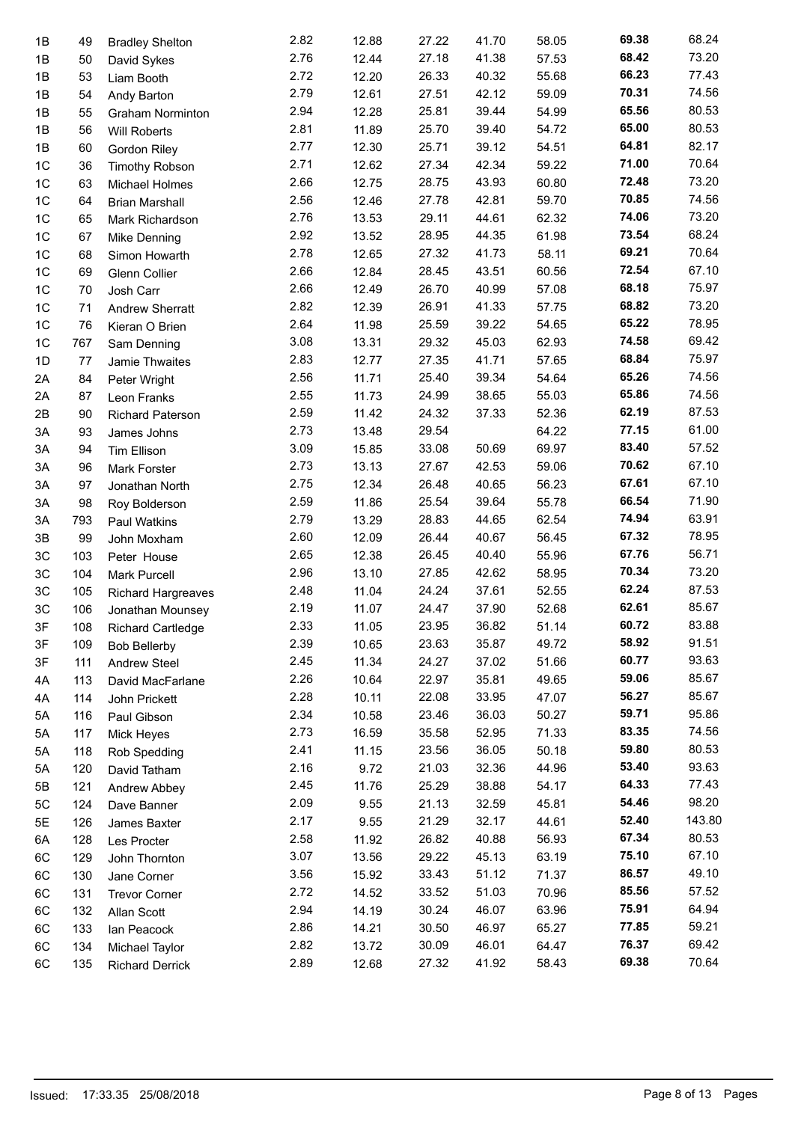| 1B             | 49  | <b>Bradley Shelton</b>    | 2.82 | 12.88 | 27.22 | 41.70 | 58.05 | 69.38 | 68.24  |
|----------------|-----|---------------------------|------|-------|-------|-------|-------|-------|--------|
| 1B             | 50  | David Sykes               | 2.76 | 12.44 | 27.18 | 41.38 | 57.53 | 68.42 | 73.20  |
| 1B             | 53  | Liam Booth                | 2.72 | 12.20 | 26.33 | 40.32 | 55.68 | 66.23 | 77.43  |
| 1B             | 54  | Andy Barton               | 2.79 | 12.61 | 27.51 | 42.12 | 59.09 | 70.31 | 74.56  |
| 1B             | 55  | <b>Graham Norminton</b>   | 2.94 | 12.28 | 25.81 | 39.44 | 54.99 | 65.56 | 80.53  |
| 1B             | 56  | <b>Will Roberts</b>       | 2.81 | 11.89 | 25.70 | 39.40 | 54.72 | 65.00 | 80.53  |
| 1B             | 60  | Gordon Riley              | 2.77 | 12.30 | 25.71 | 39.12 | 54.51 | 64.81 | 82.17  |
| 1C             | 36  | <b>Timothy Robson</b>     | 2.71 | 12.62 | 27.34 | 42.34 | 59.22 | 71.00 | 70.64  |
| 1C             | 63  | Michael Holmes            | 2.66 | 12.75 | 28.75 | 43.93 | 60.80 | 72.48 | 73.20  |
| 1 <sup>C</sup> | 64  | <b>Brian Marshall</b>     | 2.56 | 12.46 | 27.78 | 42.81 | 59.70 | 70.85 | 74.56  |
| 1C             | 65  | Mark Richardson           | 2.76 | 13.53 | 29.11 | 44.61 | 62.32 | 74.06 | 73.20  |
| 1C             | 67  | Mike Denning              | 2.92 | 13.52 | 28.95 | 44.35 | 61.98 | 73.54 | 68.24  |
| 1C             | 68  | Simon Howarth             | 2.78 | 12.65 | 27.32 | 41.73 | 58.11 | 69.21 | 70.64  |
| 1 <sup>C</sup> | 69  | Glenn Collier             | 2.66 | 12.84 | 28.45 | 43.51 | 60.56 | 72.54 | 67.10  |
| 1 <sup>C</sup> | 70  | Josh Carr                 | 2.66 | 12.49 | 26.70 | 40.99 | 57.08 | 68.18 | 75.97  |
| 1C             | 71  | <b>Andrew Sherratt</b>    | 2.82 | 12.39 | 26.91 | 41.33 | 57.75 | 68.82 | 73.20  |
| 1 <sup>C</sup> | 76  | Kieran O Brien            | 2.64 | 11.98 | 25.59 | 39.22 | 54.65 | 65.22 | 78.95  |
| 1 <sup>C</sup> | 767 | Sam Denning               | 3.08 | 13.31 | 29.32 | 45.03 | 62.93 | 74.58 | 69.42  |
| 1D             | 77  | Jamie Thwaites            | 2.83 | 12.77 | 27.35 | 41.71 | 57.65 | 68.84 | 75.97  |
| 2A             | 84  | Peter Wright              | 2.56 | 11.71 | 25.40 | 39.34 | 54.64 | 65.26 | 74.56  |
| 2A             | 87  | Leon Franks               | 2.55 | 11.73 | 24.99 | 38.65 | 55.03 | 65.86 | 74.56  |
| 2B             | 90  | <b>Richard Paterson</b>   | 2.59 | 11.42 | 24.32 | 37.33 | 52.36 | 62.19 | 87.53  |
| 3A             | 93  | James Johns               | 2.73 | 13.48 | 29.54 |       | 64.22 | 77.15 | 61.00  |
| 3A             | 94  | Tim Ellison               | 3.09 | 15.85 | 33.08 | 50.69 | 69.97 | 83.40 | 57.52  |
| 3A             | 96  | Mark Forster              | 2.73 | 13.13 | 27.67 | 42.53 | 59.06 | 70.62 | 67.10  |
| 3A             | 97  | Jonathan North            | 2.75 | 12.34 | 26.48 | 40.65 | 56.23 | 67.61 | 67.10  |
| 3A             | 98  | Roy Bolderson             | 2.59 | 11.86 | 25.54 | 39.64 | 55.78 | 66.54 | 71.90  |
| 3A             | 793 | Paul Watkins              | 2.79 | 13.29 | 28.83 | 44.65 | 62.54 | 74.94 | 63.91  |
| 3B             | 99  | John Moxham               | 2.60 | 12.09 | 26.44 | 40.67 | 56.45 | 67.32 | 78.95  |
| 3C             | 103 | Peter House               | 2.65 | 12.38 | 26.45 | 40.40 | 55.96 | 67.76 | 56.71  |
| 3C             | 104 | <b>Mark Purcell</b>       | 2.96 | 13.10 | 27.85 | 42.62 | 58.95 | 70.34 | 73.20  |
| 3C             | 105 | <b>Richard Hargreaves</b> | 2.48 | 11.04 | 24.24 | 37.61 | 52.55 | 62.24 | 87.53  |
| 3C             | 106 | Jonathan Mounsey          | 2.19 | 11.07 | 24.47 | 37.90 | 52.68 | 62.61 | 85.67  |
| 3F             | 108 | <b>Richard Cartledge</b>  | 2.33 | 11.05 | 23.95 | 36.82 | 51.14 | 60.72 | 83.88  |
| 3F             | 109 | <b>Bob Bellerby</b>       | 2.39 | 10.65 | 23.63 | 35.87 | 49.72 | 58.92 | 91.51  |
| 3F             | 111 | <b>Andrew Steel</b>       | 2.45 | 11.34 | 24.27 | 37.02 | 51.66 | 60.77 | 93.63  |
| 4A             | 113 | David MacFarlane          | 2.26 | 10.64 | 22.97 | 35.81 | 49.65 | 59.06 | 85.67  |
| 4A             | 114 | John Prickett             | 2.28 | 10.11 | 22.08 | 33.95 | 47.07 | 56.27 | 85.67  |
| 5A             | 116 | Paul Gibson               | 2.34 | 10.58 | 23.46 | 36.03 | 50.27 | 59.71 | 95.86  |
| 5A             | 117 | Mick Heyes                | 2.73 | 16.59 | 35.58 | 52.95 | 71.33 | 83.35 | 74.56  |
| 5A             | 118 | Rob Spedding              | 2.41 | 11.15 | 23.56 | 36.05 | 50.18 | 59.80 | 80.53  |
| 5A             | 120 | David Tatham              | 2.16 | 9.72  | 21.03 | 32.36 | 44.96 | 53.40 | 93.63  |
| 5Β             | 121 | Andrew Abbey              | 2.45 | 11.76 | 25.29 | 38.88 | 54.17 | 64.33 | 77.43  |
| 5C             | 124 | Dave Banner               | 2.09 | 9.55  | 21.13 | 32.59 | 45.81 | 54.46 | 98.20  |
| 5E             | 126 | James Baxter              | 2.17 | 9.55  | 21.29 | 32.17 | 44.61 | 52.40 | 143.80 |
| 6A             | 128 | Les Procter               | 2.58 | 11.92 | 26.82 | 40.88 | 56.93 | 67.34 | 80.53  |
| 6C             | 129 | John Thornton             | 3.07 | 13.56 | 29.22 | 45.13 | 63.19 | 75.10 | 67.10  |
| 6C             | 130 | Jane Corner               | 3.56 | 15.92 | 33.43 | 51.12 | 71.37 | 86.57 | 49.10  |
| 6C             | 131 | <b>Trevor Corner</b>      | 2.72 | 14.52 | 33.52 | 51.03 | 70.96 | 85.56 | 57.52  |
| 6C             | 132 |                           | 2.94 | 14.19 | 30.24 | 46.07 | 63.96 | 75.91 | 64.94  |
| 6C             | 133 | Allan Scott               | 2.86 | 14.21 | 30.50 | 46.97 | 65.27 | 77.85 | 59.21  |
| 6C             | 134 | lan Peacock               | 2.82 | 13.72 | 30.09 | 46.01 | 64.47 | 76.37 | 69.42  |
| 6C             | 135 | Michael Taylor            | 2.89 | 12.68 | 27.32 | 41.92 | 58.43 | 69.38 | 70.64  |
|                |     | <b>Richard Derrick</b>    |      |       |       |       |       |       |        |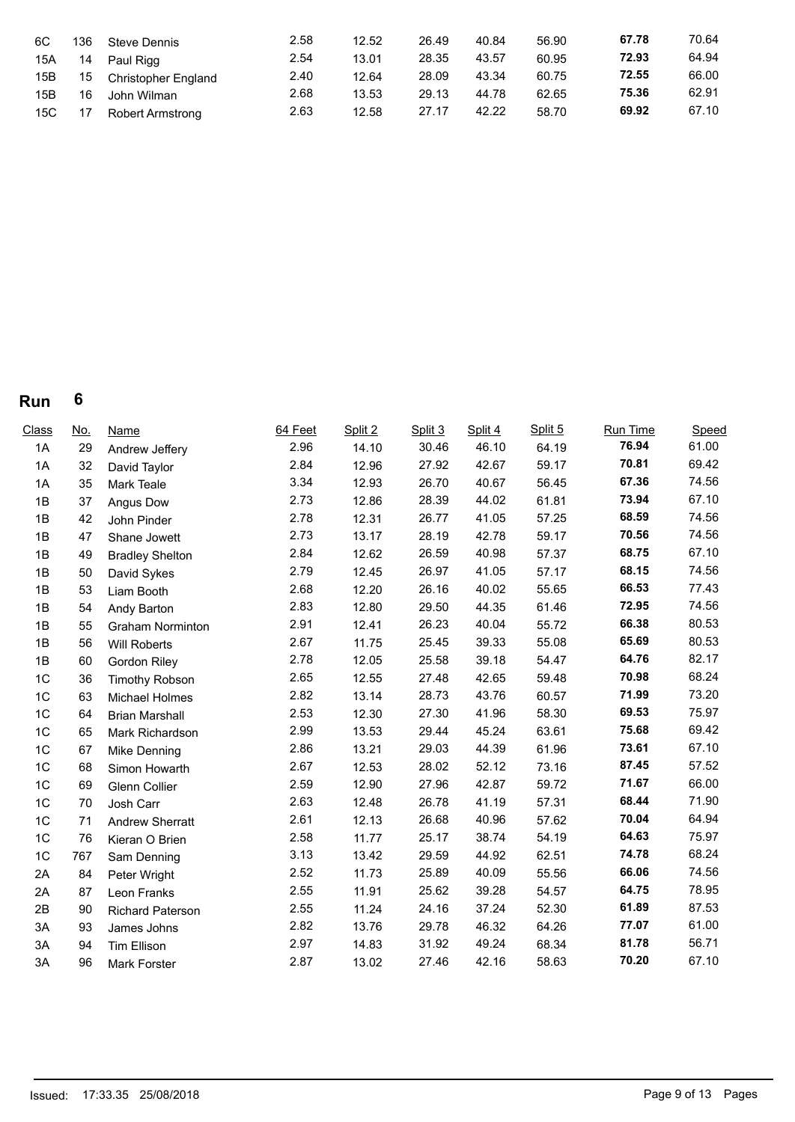| 6C  | 136 | <b>Steve Dennis</b>        | 2.58 | 12.52 | 26.49 | 40.84 | 56.90 | 67.78 | 70.64 |
|-----|-----|----------------------------|------|-------|-------|-------|-------|-------|-------|
| 15A | 14  | Paul Rigg                  | 2.54 | 13.01 | 28.35 | 43.57 | 60.95 | 72.93 | 64.94 |
| 15B | 15  | <b>Christopher England</b> | 2.40 | 12.64 | 28.09 | 43.34 | 60.75 | 72.55 | 66.00 |
| 15B | 16  | John Wilman                | 2.68 | 13.53 | 29.13 | 44.78 | 62.65 | 75.36 | 62.91 |
| 15C | 17  | Robert Armstrong           | 2.63 | 12.58 | 27.17 | 42.22 | 58.70 | 69.92 | 67.10 |

| <b>Class</b>   | <u>No.</u> | <b>Name</b>             | 64 Feet | Split 2 | Split 3 | Split 4 | Split 5 | Run Time | Speed |
|----------------|------------|-------------------------|---------|---------|---------|---------|---------|----------|-------|
| 1A             | 29         | Andrew Jeffery          | 2.96    | 14.10   | 30.46   | 46.10   | 64.19   | 76.94    | 61.00 |
| 1A             | 32         | David Taylor            | 2.84    | 12.96   | 27.92   | 42.67   | 59.17   | 70.81    | 69.42 |
| 1A             | 35         | Mark Teale              | 3.34    | 12.93   | 26.70   | 40.67   | 56.45   | 67.36    | 74.56 |
| 1B             | 37         | Angus Dow               | 2.73    | 12.86   | 28.39   | 44.02   | 61.81   | 73.94    | 67.10 |
| 1B             | 42         | John Pinder             | 2.78    | 12.31   | 26.77   | 41.05   | 57.25   | 68.59    | 74.56 |
| 1B             | 47         | Shane Jowett            | 2.73    | 13.17   | 28.19   | 42.78   | 59.17   | 70.56    | 74.56 |
| 1B             | 49         | <b>Bradley Shelton</b>  | 2.84    | 12.62   | 26.59   | 40.98   | 57.37   | 68.75    | 67.10 |
| 1B             | 50         | David Sykes             | 2.79    | 12.45   | 26.97   | 41.05   | 57.17   | 68.15    | 74.56 |
| 1B             | 53         | Liam Booth              | 2.68    | 12.20   | 26.16   | 40.02   | 55.65   | 66.53    | 77.43 |
| 1B             | 54         | Andy Barton             | 2.83    | 12.80   | 29.50   | 44.35   | 61.46   | 72.95    | 74.56 |
| 1B             | 55         | <b>Graham Norminton</b> | 2.91    | 12.41   | 26.23   | 40.04   | 55.72   | 66.38    | 80.53 |
| 1B             | 56         | Will Roberts            | 2.67    | 11.75   | 25.45   | 39.33   | 55.08   | 65.69    | 80.53 |
| 1B             | 60         | <b>Gordon Riley</b>     | 2.78    | 12.05   | 25.58   | 39.18   | 54.47   | 64.76    | 82.17 |
| 1C             | 36         | <b>Timothy Robson</b>   | 2.65    | 12.55   | 27.48   | 42.65   | 59.48   | 70.98    | 68.24 |
| 1C             | 63         | Michael Holmes          | 2.82    | 13.14   | 28.73   | 43.76   | 60.57   | 71.99    | 73.20 |
| 1C             | 64         | <b>Brian Marshall</b>   | 2.53    | 12.30   | 27.30   | 41.96   | 58.30   | 69.53    | 75.97 |
| 1C             | 65         | Mark Richardson         | 2.99    | 13.53   | 29.44   | 45.24   | 63.61   | 75.68    | 69.42 |
| 1C             | 67         | Mike Denning            | 2.86    | 13.21   | 29.03   | 44.39   | 61.96   | 73.61    | 67.10 |
| 1C             | 68         | Simon Howarth           | 2.67    | 12.53   | 28.02   | 52.12   | 73.16   | 87.45    | 57.52 |
| 1C             | 69         | <b>Glenn Collier</b>    | 2.59    | 12.90   | 27.96   | 42.87   | 59.72   | 71.67    | 66.00 |
| 1C             | 70         | Josh Carr               | 2.63    | 12.48   | 26.78   | 41.19   | 57.31   | 68.44    | 71.90 |
| 1C             | 71         | <b>Andrew Sherratt</b>  | 2.61    | 12.13   | 26.68   | 40.96   | 57.62   | 70.04    | 64.94 |
| 1 <sup>C</sup> | 76         | Kieran O Brien          | 2.58    | 11.77   | 25.17   | 38.74   | 54.19   | 64.63    | 75.97 |
| 1 <sup>C</sup> | 767        | Sam Denning             | 3.13    | 13.42   | 29.59   | 44.92   | 62.51   | 74.78    | 68.24 |
| 2A             | 84         | Peter Wright            | 2.52    | 11.73   | 25.89   | 40.09   | 55.56   | 66.06    | 74.56 |
| 2A             | 87         | Leon Franks             | 2.55    | 11.91   | 25.62   | 39.28   | 54.57   | 64.75    | 78.95 |
| 2B             | 90         | <b>Richard Paterson</b> | 2.55    | 11.24   | 24.16   | 37.24   | 52.30   | 61.89    | 87.53 |
| 3A             | 93         | James Johns             | 2.82    | 13.76   | 29.78   | 46.32   | 64.26   | 77.07    | 61.00 |
| 3A             | 94         | <b>Tim Ellison</b>      | 2.97    | 14.83   | 31.92   | 49.24   | 68.34   | 81.78    | 56.71 |
| 3A             | 96         | Mark Forster            | 2.87    | 13.02   | 27.46   | 42.16   | 58.63   | 70.20    | 67.10 |
|                |            |                         |         |         |         |         |         |          |       |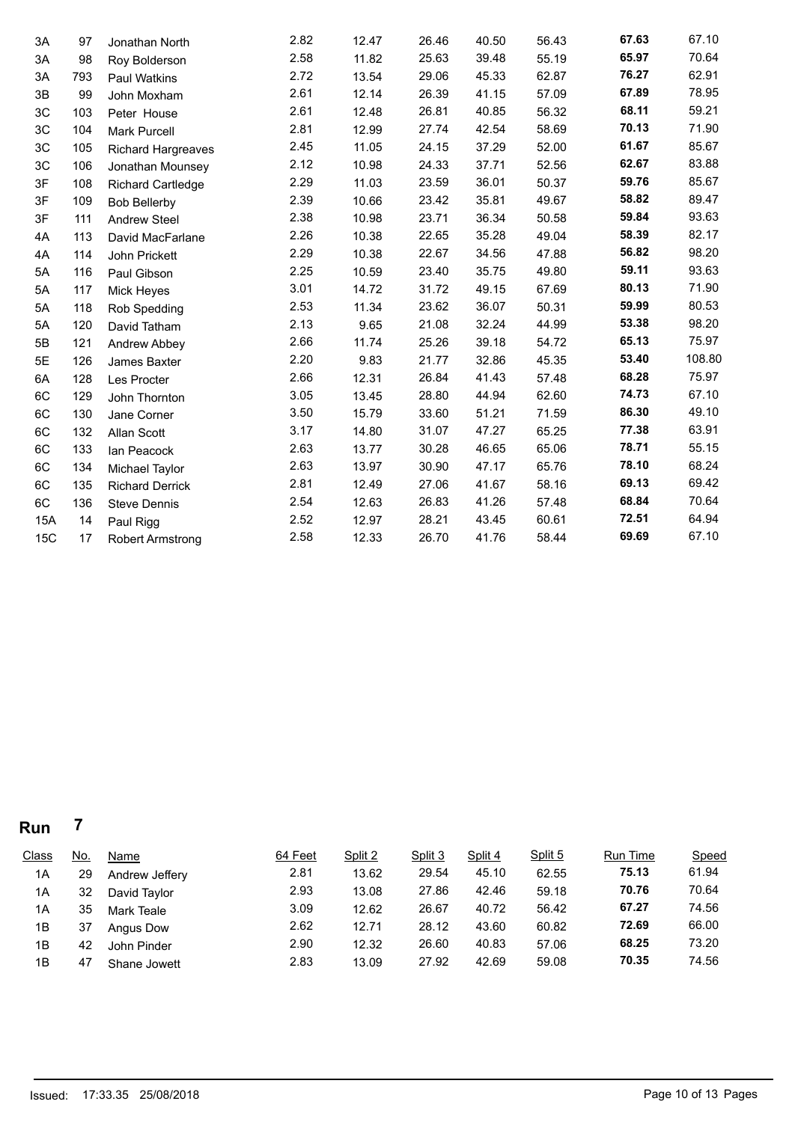| 3A  | 97  | Jonathan North            | 2.82 | 12.47 | 26.46 | 40.50 | 56.43 | 67.63 | 67.10  |
|-----|-----|---------------------------|------|-------|-------|-------|-------|-------|--------|
| ЗA  | 98  | Roy Bolderson             | 2.58 | 11.82 | 25.63 | 39.48 | 55.19 | 65.97 | 70.64  |
| 3A  | 793 | <b>Paul Watkins</b>       | 2.72 | 13.54 | 29.06 | 45.33 | 62.87 | 76.27 | 62.91  |
| 3B  | 99  | John Moxham               | 2.61 | 12.14 | 26.39 | 41.15 | 57.09 | 67.89 | 78.95  |
| 3C  | 103 | Peter House               | 2.61 | 12.48 | 26.81 | 40.85 | 56.32 | 68.11 | 59.21  |
| 3C  | 104 | <b>Mark Purcell</b>       | 2.81 | 12.99 | 27.74 | 42.54 | 58.69 | 70.13 | 71.90  |
| 3C  | 105 | <b>Richard Hargreaves</b> | 2.45 | 11.05 | 24.15 | 37.29 | 52.00 | 61.67 | 85.67  |
| 3C  | 106 | Jonathan Mounsey          | 2.12 | 10.98 | 24.33 | 37.71 | 52.56 | 62.67 | 83.88  |
| 3F  | 108 | <b>Richard Cartledge</b>  | 2.29 | 11.03 | 23.59 | 36.01 | 50.37 | 59.76 | 85.67  |
| 3F  | 109 | <b>Bob Bellerby</b>       | 2.39 | 10.66 | 23.42 | 35.81 | 49.67 | 58.82 | 89.47  |
| 3F  | 111 | <b>Andrew Steel</b>       | 2.38 | 10.98 | 23.71 | 36.34 | 50.58 | 59.84 | 93.63  |
| 4A  | 113 | David MacFarlane          | 2.26 | 10.38 | 22.65 | 35.28 | 49.04 | 58.39 | 82.17  |
| 4A  | 114 | John Prickett             | 2.29 | 10.38 | 22.67 | 34.56 | 47.88 | 56.82 | 98.20  |
| 5A  | 116 | Paul Gibson               | 2.25 | 10.59 | 23.40 | 35.75 | 49.80 | 59.11 | 93.63  |
| 5A  | 117 | Mick Heyes                | 3.01 | 14.72 | 31.72 | 49.15 | 67.69 | 80.13 | 71.90  |
| 5A  | 118 | Rob Spedding              | 2.53 | 11.34 | 23.62 | 36.07 | 50.31 | 59.99 | 80.53  |
| 5A  | 120 | David Tatham              | 2.13 | 9.65  | 21.08 | 32.24 | 44.99 | 53.38 | 98.20  |
| 5B  | 121 | Andrew Abbey              | 2.66 | 11.74 | 25.26 | 39.18 | 54.72 | 65.13 | 75.97  |
| 5E  | 126 | James Baxter              | 2.20 | 9.83  | 21.77 | 32.86 | 45.35 | 53.40 | 108.80 |
| 6A  | 128 | Les Procter               | 2.66 | 12.31 | 26.84 | 41.43 | 57.48 | 68.28 | 75.97  |
| 6C  | 129 | John Thornton             | 3.05 | 13.45 | 28.80 | 44.94 | 62.60 | 74.73 | 67.10  |
| 6C  | 130 | Jane Corner               | 3.50 | 15.79 | 33.60 | 51.21 | 71.59 | 86.30 | 49.10  |
| 6C  | 132 | Allan Scott               | 3.17 | 14.80 | 31.07 | 47.27 | 65.25 | 77.38 | 63.91  |
| 6C  | 133 | Ian Peacock               | 2.63 | 13.77 | 30.28 | 46.65 | 65.06 | 78.71 | 55.15  |
| 6C  | 134 | Michael Taylor            | 2.63 | 13.97 | 30.90 | 47.17 | 65.76 | 78.10 | 68.24  |
| 6C  | 135 | <b>Richard Derrick</b>    | 2.81 | 12.49 | 27.06 | 41.67 | 58.16 | 69.13 | 69.42  |
| 6C  | 136 | Steve Dennis              | 2.54 | 12.63 | 26.83 | 41.26 | 57.48 | 68.84 | 70.64  |
| 15A | 14  | Paul Rigg                 | 2.52 | 12.97 | 28.21 | 43.45 | 60.61 | 72.51 | 64.94  |
| 15C | 17  | <b>Robert Armstrong</b>   | 2.58 | 12.33 | 26.70 | 41.76 | 58.44 | 69.69 | 67.10  |
|     |     |                           |      |       |       |       |       |       |        |

| <b>Class</b> | <u>No.</u> | <b>Name</b>    | 64 Feet | Split 2 | Split 3 | Split 4 | Split 5 | <b>Run Time</b> | <b>Speed</b> |
|--------------|------------|----------------|---------|---------|---------|---------|---------|-----------------|--------------|
| 1A           | 29         | Andrew Jeffery | 2.81    | 13.62   | 29.54   | 45.10   | 62.55   | 75.13           | 61.94        |
| 1A           | 32         | David Taylor   | 2.93    | 13.08   | 27.86   | 42.46   | 59.18   | 70.76           | 70.64        |
| 1A           | 35         | Mark Teale     | 3.09    | 12.62   | 26.67   | 40.72   | 56.42   | 67.27           | 74.56        |
| 1B           | 37         | Angus Dow      | 2.62    | 12.71   | 28.12   | 43.60   | 60.82   | 72.69           | 66.00        |
| 1B           | 42         | John Pinder    | 2.90    | 12.32   | 26.60   | 40.83   | 57.06   | 68.25           | 73.20        |
| 1B           | 47         | Shane Jowett   | 2.83    | 13.09   | 27.92   | 42.69   | 59.08   | 70.35           | 74.56        |
|              |            |                |         |         |         |         |         |                 |              |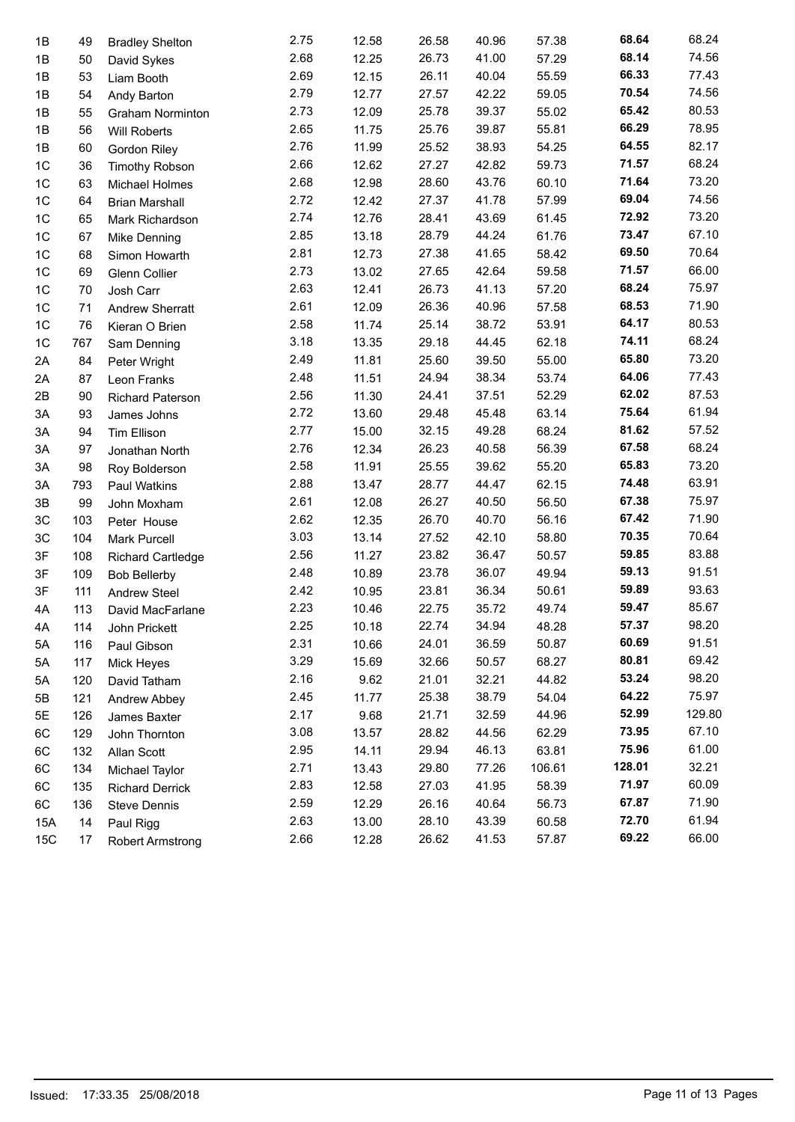| 1B  | 49  | <b>Bradley Shelton</b>   | 2.75 | 12.58 | 26.58 | 40.96 | 57.38  | 68.64  | 68.24  |
|-----|-----|--------------------------|------|-------|-------|-------|--------|--------|--------|
| 1B  | 50  | David Sykes              | 2.68 | 12.25 | 26.73 | 41.00 | 57.29  | 68.14  | 74.56  |
| 1B  | 53  | Liam Booth               | 2.69 | 12.15 | 26.11 | 40.04 | 55.59  | 66.33  | 77.43  |
| 1B  | 54  | Andy Barton              | 2.79 | 12.77 | 27.57 | 42.22 | 59.05  | 70.54  | 74.56  |
| 1B  | 55  | <b>Graham Norminton</b>  | 2.73 | 12.09 | 25.78 | 39.37 | 55.02  | 65.42  | 80.53  |
| 1B  | 56  | Will Roberts             | 2.65 | 11.75 | 25.76 | 39.87 | 55.81  | 66.29  | 78.95  |
| 1B  | 60  | <b>Gordon Riley</b>      | 2.76 | 11.99 | 25.52 | 38.93 | 54.25  | 64.55  | 82.17  |
| 1C  | 36  | <b>Timothy Robson</b>    | 2.66 | 12.62 | 27.27 | 42.82 | 59.73  | 71.57  | 68.24  |
| 1C  | 63  | Michael Holmes           | 2.68 | 12.98 | 28.60 | 43.76 | 60.10  | 71.64  | 73.20  |
| 1C  | 64  | <b>Brian Marshall</b>    | 2.72 | 12.42 | 27.37 | 41.78 | 57.99  | 69.04  | 74.56  |
| 1C  | 65  | Mark Richardson          | 2.74 | 12.76 | 28.41 | 43.69 | 61.45  | 72.92  | 73.20  |
| 1C  | 67  | <b>Mike Denning</b>      | 2.85 | 13.18 | 28.79 | 44.24 | 61.76  | 73.47  | 67.10  |
| 1C  | 68  | Simon Howarth            | 2.81 | 12.73 | 27.38 | 41.65 | 58.42  | 69.50  | 70.64  |
| 1C  | 69  | Glenn Collier            | 2.73 | 13.02 | 27.65 | 42.64 | 59.58  | 71.57  | 66.00  |
| 1C  | 70  | Josh Carr                | 2.63 | 12.41 | 26.73 | 41.13 | 57.20  | 68.24  | 75.97  |
| 1C  | 71  | <b>Andrew Sherratt</b>   | 2.61 | 12.09 | 26.36 | 40.96 | 57.58  | 68.53  | 71.90  |
| 1C  | 76  | Kieran O Brien           | 2.58 | 11.74 | 25.14 | 38.72 | 53.91  | 64.17  | 80.53  |
| 1C  | 767 | Sam Denning              | 3.18 | 13.35 | 29.18 | 44.45 | 62.18  | 74.11  | 68.24  |
| 2A  | 84  | Peter Wright             | 2.49 | 11.81 | 25.60 | 39.50 | 55.00  | 65.80  | 73.20  |
| 2A  | 87  | Leon Franks              | 2.48 | 11.51 | 24.94 | 38.34 | 53.74  | 64.06  | 77.43  |
| 2B  | 90  | <b>Richard Paterson</b>  | 2.56 | 11.30 | 24.41 | 37.51 | 52.29  | 62.02  | 87.53  |
| 3A  | 93  | James Johns              | 2.72 | 13.60 | 29.48 | 45.48 | 63.14  | 75.64  | 61.94  |
| 3A  | 94  | <b>Tim Ellison</b>       | 2.77 | 15.00 | 32.15 | 49.28 | 68.24  | 81.62  | 57.52  |
| 3A  | 97  | Jonathan North           | 2.76 | 12.34 | 26.23 | 40.58 | 56.39  | 67.58  | 68.24  |
| 3A  | 98  | Roy Bolderson            | 2.58 | 11.91 | 25.55 | 39.62 | 55.20  | 65.83  | 73.20  |
| 3A  | 793 | Paul Watkins             | 2.88 | 13.47 | 28.77 | 44.47 | 62.15  | 74.48  | 63.91  |
| 3B  | 99  | John Moxham              | 2.61 | 12.08 | 26.27 | 40.50 | 56.50  | 67.38  | 75.97  |
| 3C  | 103 | Peter House              | 2.62 | 12.35 | 26.70 | 40.70 | 56.16  | 67.42  | 71.90  |
| 3C  | 104 | <b>Mark Purcell</b>      | 3.03 | 13.14 | 27.52 | 42.10 | 58.80  | 70.35  | 70.64  |
| 3F  | 108 | <b>Richard Cartledge</b> | 2.56 | 11.27 | 23.82 | 36.47 | 50.57  | 59.85  | 83.88  |
| 3F  | 109 | <b>Bob Bellerby</b>      | 2.48 | 10.89 | 23.78 | 36.07 | 49.94  | 59.13  | 91.51  |
| 3F  | 111 | <b>Andrew Steel</b>      | 2.42 | 10.95 | 23.81 | 36.34 | 50.61  | 59.89  | 93.63  |
| 4A  | 113 | David MacFarlane         | 2.23 | 10.46 | 22.75 | 35.72 | 49.74  | 59.47  | 85.67  |
| 4A  | 114 | John Prickett            | 2.25 | 10.18 | 22.74 | 34.94 | 48.28  | 57.37  | 98.20  |
| 5A  | 116 | Paul Gibson              | 2.31 | 10.66 | 24.01 | 36.59 | 50.87  | 60.69  | 91.51  |
| 5A  | 117 | Mick Heyes               | 3.29 | 15.69 | 32.66 | 50.57 | 68.27  | 80.81  | 69.42  |
| 5A  | 120 | David Tatham             | 2.16 | 9.62  | 21.01 | 32.21 | 44.82  | 53.24  | 98.20  |
| 5B  | 121 | Andrew Abbey             | 2.45 | 11.77 | 25.38 | 38.79 | 54.04  | 64.22  | 75.97  |
| 5E  | 126 | James Baxter             | 2.17 | 9.68  | 21.71 | 32.59 | 44.96  | 52.99  | 129.80 |
| 6C  | 129 | John Thornton            | 3.08 | 13.57 | 28.82 | 44.56 | 62.29  | 73.95  | 67.10  |
| 6C  | 132 | Allan Scott              | 2.95 | 14.11 | 29.94 | 46.13 | 63.81  | 75.96  | 61.00  |
| 6C  | 134 | Michael Taylor           | 2.71 | 13.43 | 29.80 | 77.26 | 106.61 | 128.01 | 32.21  |
| 6C  | 135 | <b>Richard Derrick</b>   | 2.83 | 12.58 | 27.03 | 41.95 | 58.39  | 71.97  | 60.09  |
| 6C  | 136 | <b>Steve Dennis</b>      | 2.59 | 12.29 | 26.16 | 40.64 | 56.73  | 67.87  | 71.90  |
| 15A | 14  | Paul Rigg                | 2.63 | 13.00 | 28.10 | 43.39 | 60.58  | 72.70  | 61.94  |
| 15C | 17  | <b>Robert Armstrong</b>  | 2.66 | 12.28 | 26.62 | 41.53 | 57.87  | 69.22  | 66.00  |
|     |     |                          |      |       |       |       |        |        |        |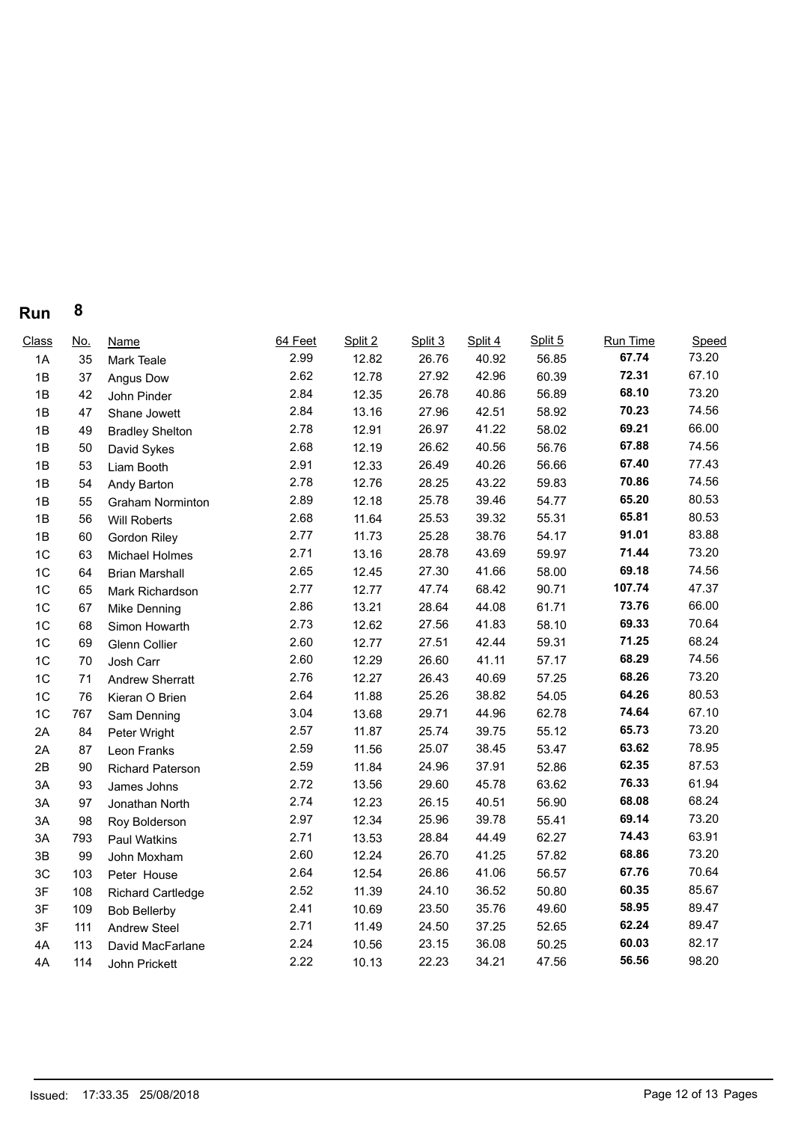| Run | 8 |
|-----|---|
|-----|---|

| <u>No.</u> | <b>Name</b>              | 64 Feet | Split 2 | Split 3 | Split 4 | Split 5 | Run Time | Speed          |
|------------|--------------------------|---------|---------|---------|---------|---------|----------|----------------|
| 35         | Mark Teale               | 2.99    | 12.82   | 26.76   | 40.92   | 56.85   | 67.74    | 73.20          |
| 37         | Angus Dow                | 2.62    | 12.78   | 27.92   | 42.96   | 60.39   | 72.31    | 67.10          |
| 42         | John Pinder              | 2.84    | 12.35   | 26.78   | 40.86   | 56.89   | 68.10    | 73.20          |
| 47         | Shane Jowett             | 2.84    | 13.16   | 27.96   | 42.51   | 58.92   | 70.23    | 74.56          |
| 49         | <b>Bradley Shelton</b>   | 2.78    | 12.91   | 26.97   | 41.22   | 58.02   | 69.21    | 66.00          |
| 50         | David Sykes              | 2.68    | 12.19   | 26.62   | 40.56   | 56.76   | 67.88    | 74.56          |
| 53         | Liam Booth               | 2.91    | 12.33   | 26.49   | 40.26   | 56.66   | 67.40    | 77.43          |
| 54         | Andy Barton              | 2.78    | 12.76   | 28.25   | 43.22   | 59.83   | 70.86    | 74.56          |
| 55         | <b>Graham Norminton</b>  | 2.89    | 12.18   | 25.78   | 39.46   | 54.77   | 65.20    | 80.53          |
| 56         | <b>Will Roberts</b>      | 2.68    | 11.64   | 25.53   | 39.32   | 55.31   | 65.81    | 80.53          |
| 60         | <b>Gordon Riley</b>      | 2.77    | 11.73   | 25.28   | 38.76   | 54.17   | 91.01    | 83.88          |
| 63         | Michael Holmes           | 2.71    | 13.16   | 28.78   | 43.69   | 59.97   | 71.44    | 73.20          |
| 64         | <b>Brian Marshall</b>    | 2.65    | 12.45   | 27.30   | 41.66   | 58.00   | 69.18    | 74.56          |
| 65         | Mark Richardson          | 2.77    | 12.77   | 47.74   | 68.42   | 90.71   | 107.74   | 47.37          |
| 67         | Mike Denning             | 2.86    | 13.21   | 28.64   | 44.08   | 61.71   | 73.76    | 66.00          |
| 68         | Simon Howarth            | 2.73    | 12.62   | 27.56   | 41.83   | 58.10   | 69.33    | 70.64          |
| 69         | <b>Glenn Collier</b>     | 2.60    | 12.77   | 27.51   | 42.44   | 59.31   | 71.25    | 68.24          |
| 70         | Josh Carr                | 2.60    | 12.29   | 26.60   | 41.11   | 57.17   | 68.29    | 74.56          |
| 71         | <b>Andrew Sherratt</b>   | 2.76    | 12.27   | 26.43   | 40.69   | 57.25   | 68.26    | 73.20          |
| 76         | Kieran O Brien           | 2.64    | 11.88   | 25.26   | 38.82   | 54.05   |          | 80.53          |
| 767        | Sam Denning              | 3.04    | 13.68   | 29.71   | 44.96   | 62.78   |          | 67.10          |
| 84         | Peter Wright             | 2.57    | 11.87   | 25.74   | 39.75   | 55.12   | 65.73    | 73.20          |
| 87         | Leon Franks              | 2.59    | 11.56   | 25.07   | 38.45   | 53.47   | 63.62    | 78.95          |
| 90         | <b>Richard Paterson</b>  | 2.59    | 11.84   | 24.96   | 37.91   | 52.86   | 62.35    | 87.53          |
| 93         | James Johns              | 2.72    | 13.56   | 29.60   | 45.78   | 63.62   | 76.33    | 61.94          |
| 97         | Jonathan North           | 2.74    | 12.23   | 26.15   | 40.51   | 56.90   | 68.08    | 68.24          |
| 98         | Roy Bolderson            | 2.97    | 12.34   | 25.96   | 39.78   | 55.41   | 69.14    | 73.20          |
| 793        | Paul Watkins             | 2.71    | 13.53   | 28.84   | 44.49   | 62.27   | 74.43    | 63.91          |
| 99         | John Moxham              | 2.60    | 12.24   | 26.70   | 41.25   | 57.82   | 68.86    | 73.20          |
| 103        | Peter House              | 2.64    | 12.54   | 26.86   | 41.06   | 56.57   | 67.76    | 70.64          |
| 108        | <b>Richard Cartledge</b> | 2.52    | 11.39   | 24.10   | 36.52   | 50.80   | 60.35    | 85.67          |
| 109        | <b>Bob Bellerby</b>      | 2.41    | 10.69   | 23.50   | 35.76   | 49.60   | 58.95    | 89.47          |
| 111        | <b>Andrew Steel</b>      | 2.71    | 11.49   | 24.50   | 37.25   | 52.65   | 62.24    | 89.47          |
| 113        | David MacFarlane         | 2.24    | 10.56   | 23.15   | 36.08   | 50.25   | 60.03    | 82.17          |
| 114        | John Prickett            | 2.22    | 10.13   | 22.23   | 34.21   | 47.56   | 56.56    | 98.20          |
|            |                          |         |         |         |         |         |          | 64.26<br>74.64 |